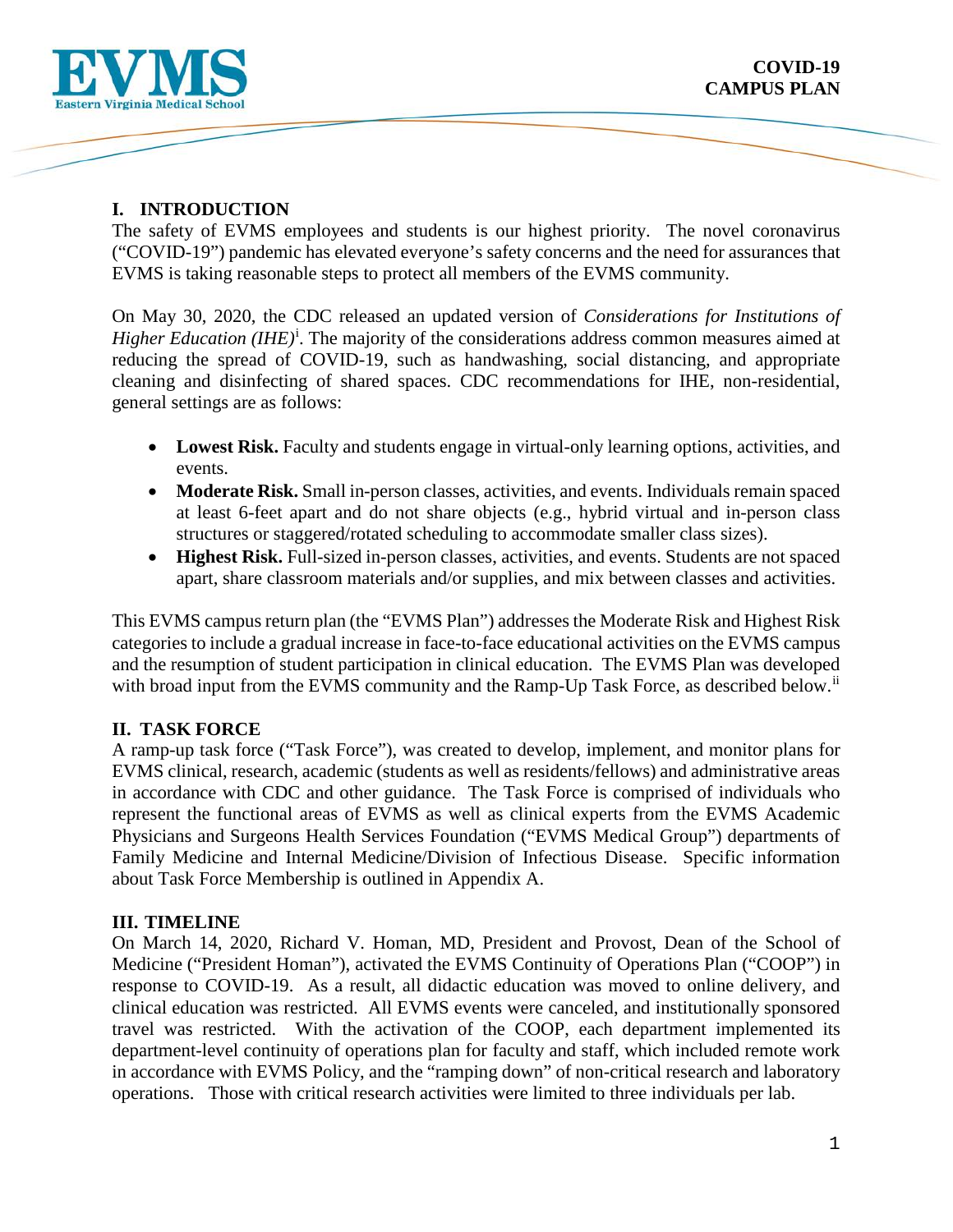

 The safety of EVMS employees and students is our highest priority. The novel coronavirus ("COVID-19") pandemic has elevated everyone's safety concerns and the need for assurances that EVMS is taking reasonable steps to protect all members of the EVMS community.

On May 30, 2020, the CDC released an updated version of *Considerations for Institutions of*  H[i](#page-7-0)gher Education (IHE)<sup>i</sup>. The majority of the considerations address common measures aimed at reducing the spread of COVID-19, such as handwashing, social distancing, and appropriate cleaning and disinfecting of shared spaces. CDC recommendations for IHE, non-residential, general settings are as follows:

- Lowest Risk. Faculty and students engage in virtual-only learning options, activities, and events.
- **Moderate Risk.** Small in-person classes, activities, and events. Individuals remain spaced at least 6-feet apart and do not share objects (e.g., hybrid virtual and in-person class structures or staggered/rotated scheduling to accommodate smaller class sizes).
- **Highest Risk.** Full-sized in-person classes, activities, and events. Students are not spaced apart, share classroom materials and/or supplies, and mix between classes and activities.

with broad input from the EVMS community and the Ramp-Up Task Force, as described below.<sup>ii</sup> This EVMS campus return plan (the "EVMS Plan") addresses the Moderate Risk and Highest Risk categories to include a gradual increase in face-to-face educational activities on the EVMS campus and the resumption of student participation in clinical education. The EVMS Plan was developed

# **II. TASK FORCE**

 Family Medicine and Internal Medicine/Division of Infectious Disease. Specific information A ramp-up task force ("Task Force"), was created to develop, implement, and monitor plans for EVMS clinical, research, academic (students as well as residents/fellows) and administrative areas in accordance with CDC and other guidance. The Task Force is comprised of individuals who represent the functional areas of EVMS as well as clinical experts from the EVMS Academic Physicians and Surgeons Health Services Foundation ("EVMS Medical Group") departments of about Task Force Membership is outlined in Appendix A.

# **III. TIMELINE**

 response to COVID-19. As a result, all didactic education was moved to online delivery, and operations. Those with critical research activities were limited to three individuals per lab. On March 14, 2020, Richard V. Homan, MD, President and Provost, Dean of the School of Medicine ("President Homan"), activated the EVMS Continuity of Operations Plan ("COOP") in clinical education was restricted. All EVMS events were canceled, and institutionally sponsored travel was restricted. With the activation of the COOP, each department implemented its department-level continuity of operations plan for faculty and staff, which included remote work in accordance with EVMS Policy, and the "ramping down" of non-critical research and laboratory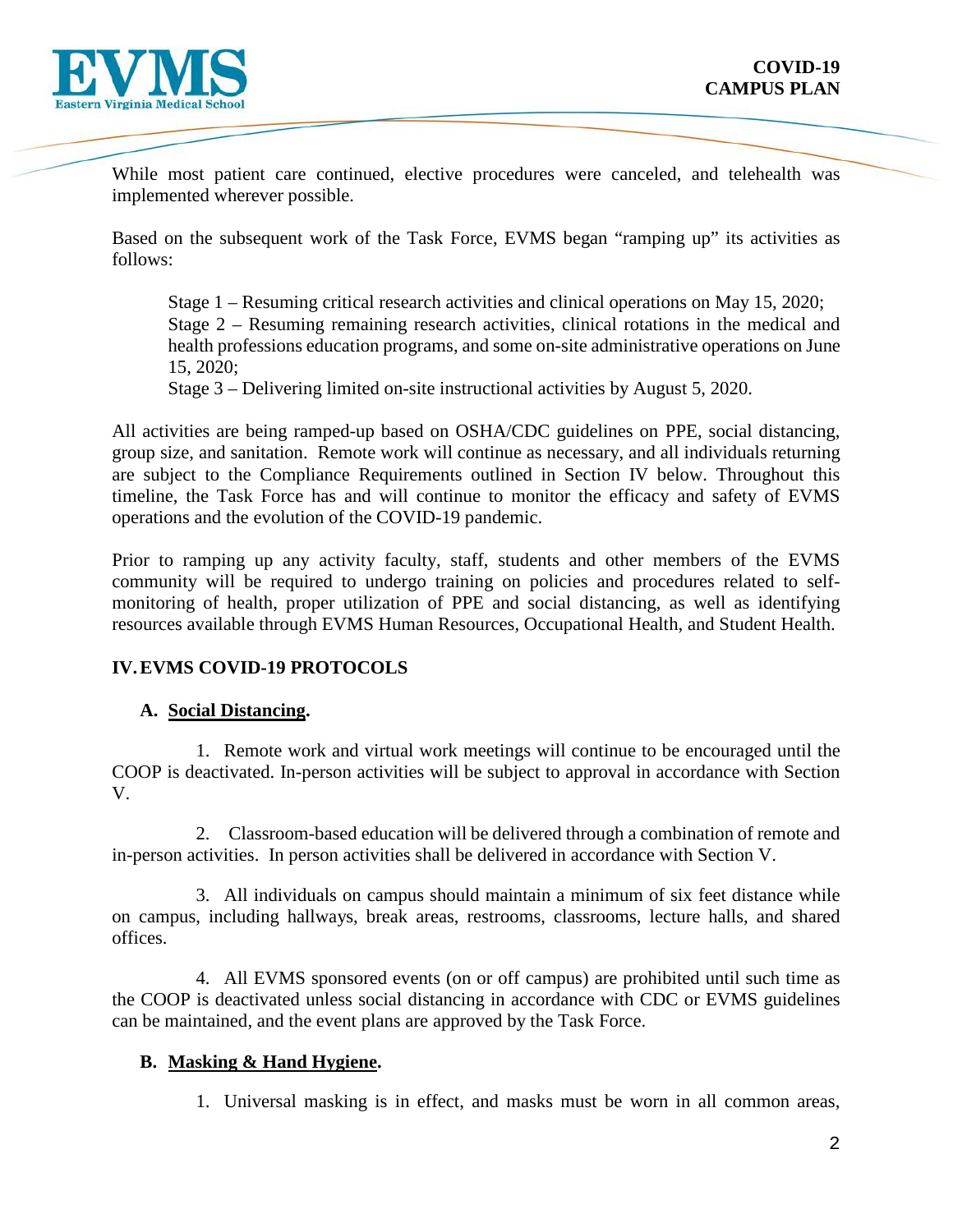

implemented wherever possible. While most patient care continued, elective procedures were canceled, and telehealth was

Based on the subsequent work of the Task Force, EVMS began "ramping up" its activities as follows:

 Stage 1 – Resuming critical research activities and clinical operations on May 15, 2020; Stage 2 – Resuming remaining research activities, clinical rotations in the medical and 15, 2020; health professions education programs, and some on-site administrative operations on June

15, 2020; Stage 3 – Delivering limited on-site instructional activities by August 5, 2020.

 All activities are being ramped-up based on OSHA/CDC guidelines on PPE, social distancing, group size, and sanitation. Remote work will continue as necessary, and all individuals returning are subject to the Compliance Requirements outlined in Section IV below. Throughout this timeline, the Task Force has and will continue to monitor the efficacy and safety of EVMS operations and the evolution of the COVID-19 pandemic.

Prior to ramping up any activity faculty, staff, students and other members of the EVMS community will be required to undergo training on policies and procedures related to selfmonitoring of health, proper utilization of PPE and social distancing, as well as identifying resources available through EVMS Human Resources, Occupational Health, and Student Health.

# **IV. EVMS COVID-19 PROTOCOLS**

# **A. Social Distancing.**

1. Remote work and virtual work meetings will continue to be encouraged until the COOP is deactivated. In-person activities will be subject to approval in accordance with Section V.

 in-person activities. In person activities shall be delivered in accordance with Section V. 2. Classroom-based education will be delivered through a combination of remote and

offices. 3. All individuals on campus should maintain a minimum of six feet distance while on campus, including hallways, break areas, restrooms, classrooms, lecture halls, and shared

4. All EVMS sponsored events (on or off campus) are prohibited until such time as the COOP is deactivated unless social distancing in accordance with CDC or EVMS guidelines can be maintained, and the event plans are approved by the Task Force.

# **B. Masking & Hand Hygiene.**

1. Universal masking is in effect, and masks must be worn in all common areas,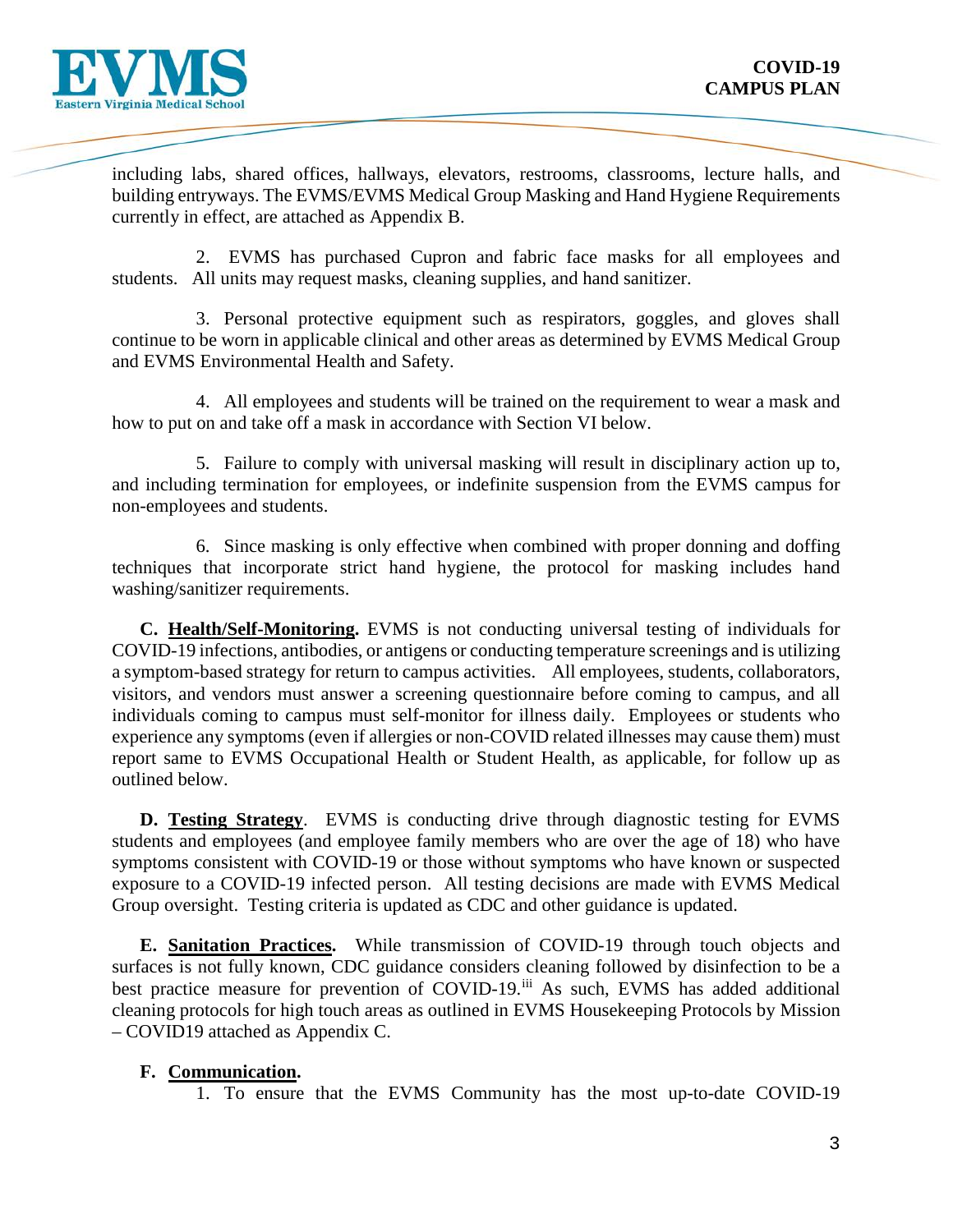

 currently in effect, are attached as Appendix B. including labs, shared offices, hallways, elevators, restrooms, classrooms, lecture halls, and building entryways. The EVMS/EVMS Medical Group Masking and Hand Hygiene Requirements

 students. All units may request masks, cleaning supplies, and hand sanitizer. 2. EVMS has purchased Cupron and fabric face masks for all employees and

3. Personal protective equipment such as respirators, goggles, and gloves shall continue to be worn in applicable clinical and other areas as determined by EVMS Medical Group and EVMS Environmental Health and Safety.

 4. All employees and students will be trained on the requirement to wear a mask and how to put on and take off a mask in accordance with Section VI below.

 and including termination for employees, or indefinite suspension from the EVMS campus for 5. Failure to comply with universal masking will result in disciplinary action up to, non-employees and students.

6. Since masking is only effective when combined with proper donning and doffing techniques that incorporate strict hand hygiene, the protocol for masking includes hand washing/sanitizer requirements.

 **C. Health/Self-Monitoring.** EVMS is not conducting universal testing of individuals for a symptom-based strategy for return to campus activities. All employees, students, collaborators, visitors, and vendors must answer a screening questionnaire before coming to campus, and all COVID-19 infections, antibodies, or antigens or conducting temperature screenings and is utilizing individuals coming to campus must self-monitor for illness daily. Employees or students who experience any symptoms (even if allergies or non-COVID related illnesses may cause them) must report same to EVMS Occupational Health or Student Health, as applicable, for follow up as outlined below.

**D. Testing Strategy**. EVMS is conducting drive through diagnostic testing for EVMS students and employees (and employee family members who are over the age of 18) who have symptoms consistent with COVID-19 or those without symptoms who have known or suspected exposure to a COVID-19 infected person. All testing decisions are made with EVMS Medical Group oversight. Testing criteria is updated as CDC and other guidance is updated.

 surfaces is not fully known, CDC guidance considers cleaning followed by disinfection to be a cleaning protocols for high touch areas as outlined in EVMS Housekeeping Protocols by Mission **E. Sanitation Practices.** While transmission of COVID-19 through touch objects and best practice measure for prevention of COVID-19.<sup>[iii](#page-7-2)</sup> As such, EVMS has added additional – COVID19 attached as Appendix C.

# **F. Communication.**

1. To ensure that the EVMS Community has the most up-to-date COVID-19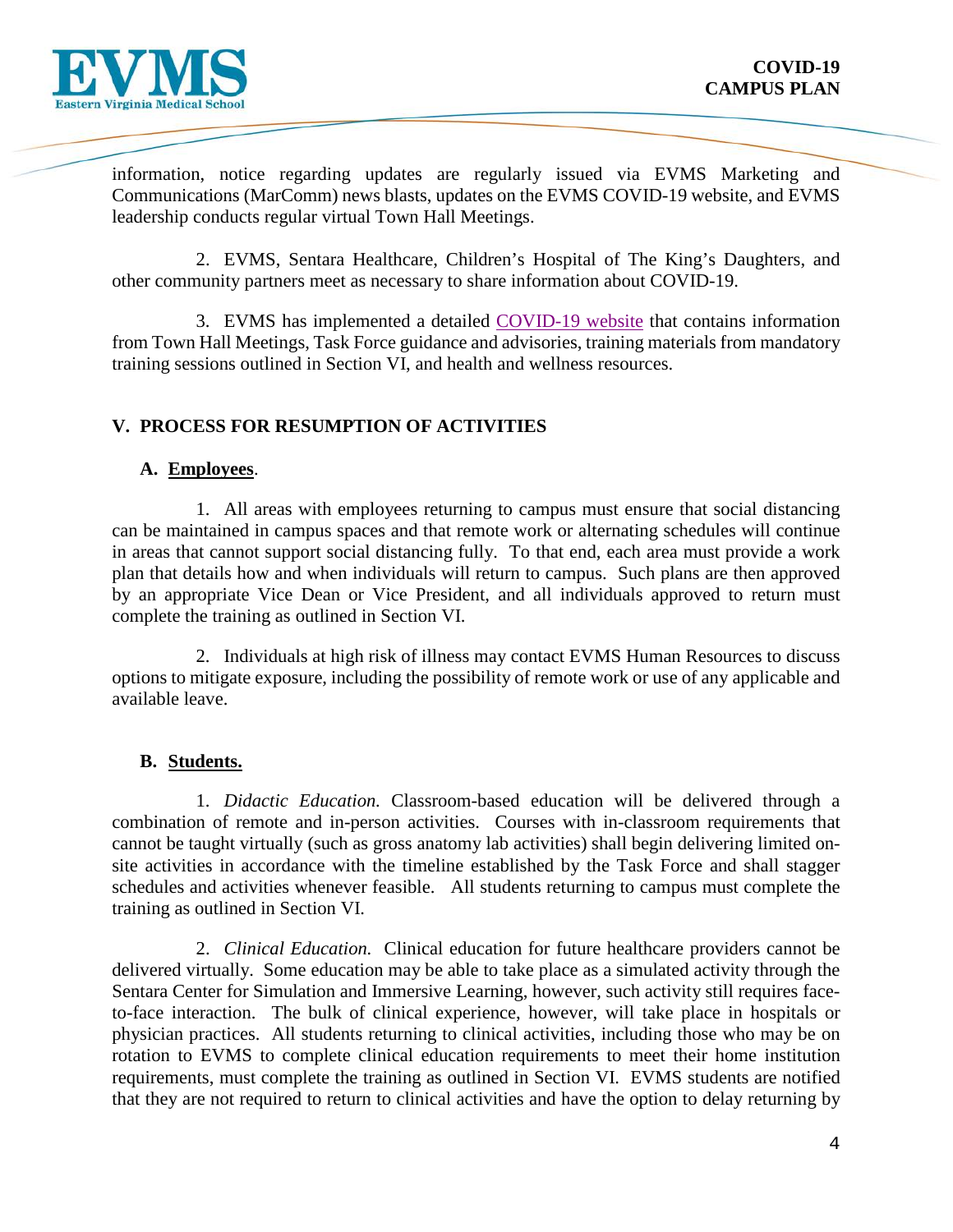

information, notice regarding updates are regularly issued via EVMS Marketing and Communications (MarComm) news blasts, updates on the EVMS COVID-19 website, and EVMS leadership conducts regular virtual Town Hall Meetings.

 2. EVMS, Sentara Healthcare, Children's Hospital of The King's Daughters, and other community partners meet as necessary to share information about COVID-19.

 training sessions outlined in Section VI, and health and wellness resources. 3. EVMS has implemented a detailed [COVID-19 website](https://www.evms.edu/covid-19/) that contains information from Town Hall Meetings, Task Force guidance and advisories, training materials from mandatory

# **V. PROCESS FOR RESUMPTION OF ACTIVITIES**

# **A. Employees**.

 in areas that cannot support social distancing fully. To that end, each area must provide a work 1. All areas with employees returning to campus must ensure that social distancing can be maintained in campus spaces and that remote work or alternating schedules will continue plan that details how and when individuals will return to campus. Such plans are then approved by an appropriate Vice Dean or Vice President, and all individuals approved to return must complete the training as outlined in Section VI.

2. Individuals at high risk of illness may contact EVMS Human Resources to discuss options to mitigate exposure, including the possibility of remote work or use of any applicable and available leave.

# **B. Students.**

 cannot be taught virtually (such as gross anatomy lab activities) shall begin delivering limited on- site activities in accordance with the timeline established by the Task Force and shall stagger schedules and activities whenever feasible. All students returning to campus must complete the 1. *Didactic Education.* Classroom-based education will be delivered through a combination of remote and in-person activities. Courses with in-classroom requirements that training as outlined in Section VI.

 2. *Clinical Education.* Clinical education for future healthcare providers cannot be to-face interaction. The bulk of clinical experience, however, will take place in hospitals or delivered virtually. Some education may be able to take place as a simulated activity through the Sentara Center for Simulation and Immersive Learning, however, such activity still requires facephysician practices. All students returning to clinical activities, including those who may be on rotation to EVMS to complete clinical education requirements to meet their home institution requirements, must complete the training as outlined in Section VI. EVMS students are notified that they are not required to return to clinical activities and have the option to delay returning by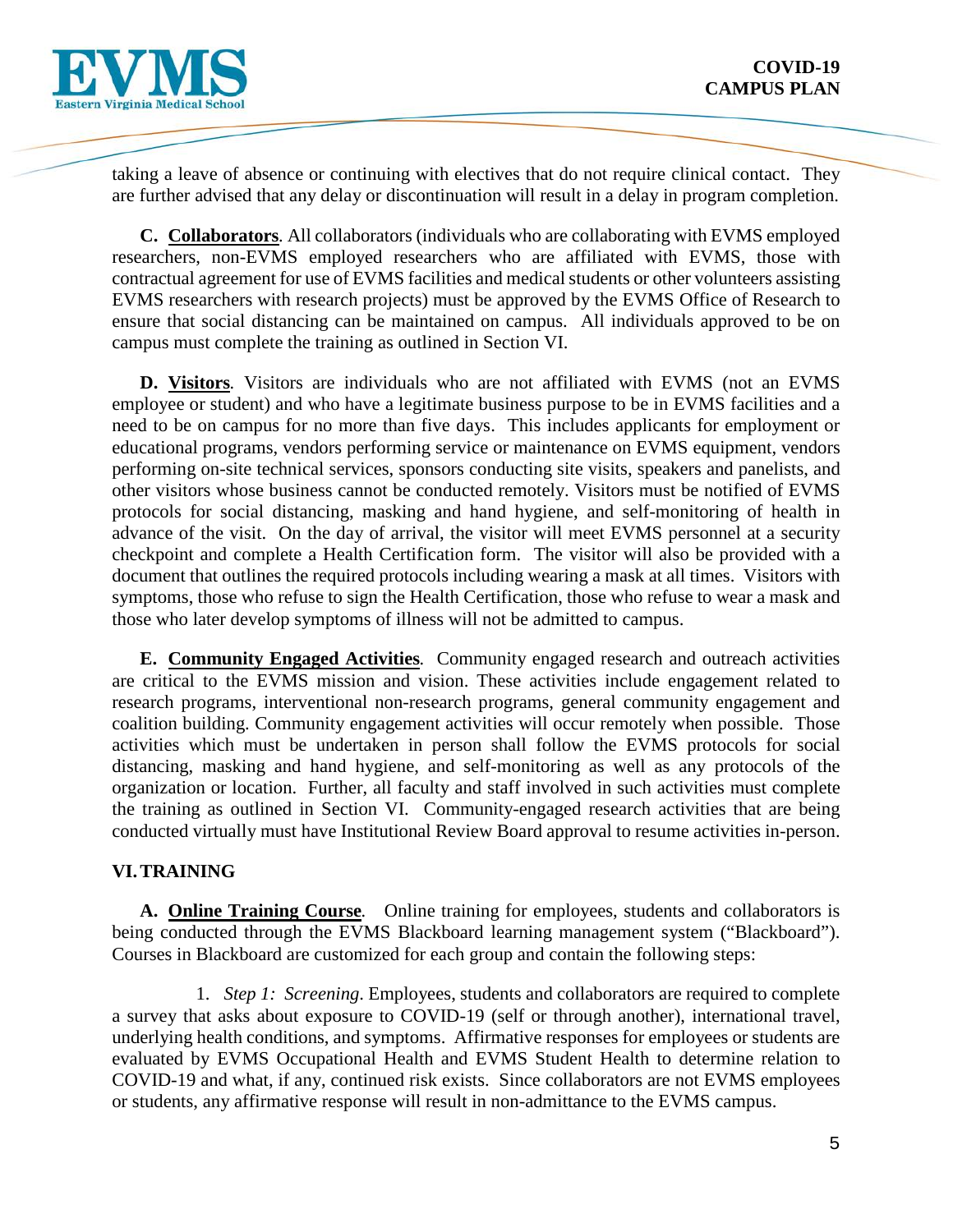

 taking a leave of absence or continuing with electives that do not require clinical contact. They are further advised that any delay or discontinuation will result in a delay in program completion.

 EVMS researchers with research projects) must be approved by the EVMS Office of Research to campus must complete the training as outlined in Section VI. **C. Collaborators***.* All collaborators (individuals who are collaborating with EVMS employed researchers, non-EVMS employed researchers who are affiliated with EVMS, those with contractual agreement for use of EVMS facilities and medical students or other volunteers assisting ensure that social distancing can be maintained on campus. All individuals approved to be on

 employee or student) and who have a legitimate business purpose to be in EVMS facilities and a document that outlines the required protocols including wearing a mask at all times. Visitors with **D. Visitors***.* Visitors are individuals who are not affiliated with EVMS (not an EVMS need to be on campus for no more than five days. This includes applicants for employment or educational programs, vendors performing service or maintenance on EVMS equipment, vendors performing on-site technical services, sponsors conducting site visits, speakers and panelists, and other visitors whose business cannot be conducted remotely. Visitors must be notified of EVMS protocols for social distancing, masking and hand hygiene, and self-monitoring of health in advance of the visit. On the day of arrival, the visitor will meet EVMS personnel at a security checkpoint and complete a Health Certification form. The visitor will also be provided with a symptoms, those who refuse to sign the Health Certification, those who refuse to wear a mask and those who later develop symptoms of illness will not be admitted to campus.

 research programs, interventional non-research programs, general community engagement and coalition building. Community engagement activities will occur remotely when possible. Those distancing, masking and hand hygiene, and self-monitoring as well as any protocols of the conducted virtually must have Institutional Review Board approval to resume activities in-person. **E. Community Engaged Activities***.* Community engaged research and outreach activities are critical to the EVMS mission and vision. These activities include engagement related to activities which must be undertaken in person shall follow the EVMS protocols for social organization or location. Further, all faculty and staff involved in such activities must complete the training as outlined in Section VI. Community-engaged research activities that are being

# **VI. TRAINING**

 **A. Online Training Course***.* Online training for employees, students and collaborators is being conducted through the EVMS Blackboard learning management system ("Blackboard"). Courses in Blackboard are customized for each group and contain the following steps:

1. *Step 1: Screening*. Employees, students and collaborators are required to complete underlying health conditions, and symptoms. Affirmative responses for employees or students are COVID-19 and what, if any, continued risk exists. Since collaborators are not EVMS employees or students, any affirmative response will result in non-admittance to the EVMS campus. a survey that asks about exposure to COVID-19 (self or through another), international travel, evaluated by EVMS Occupational Health and EVMS Student Health to determine relation to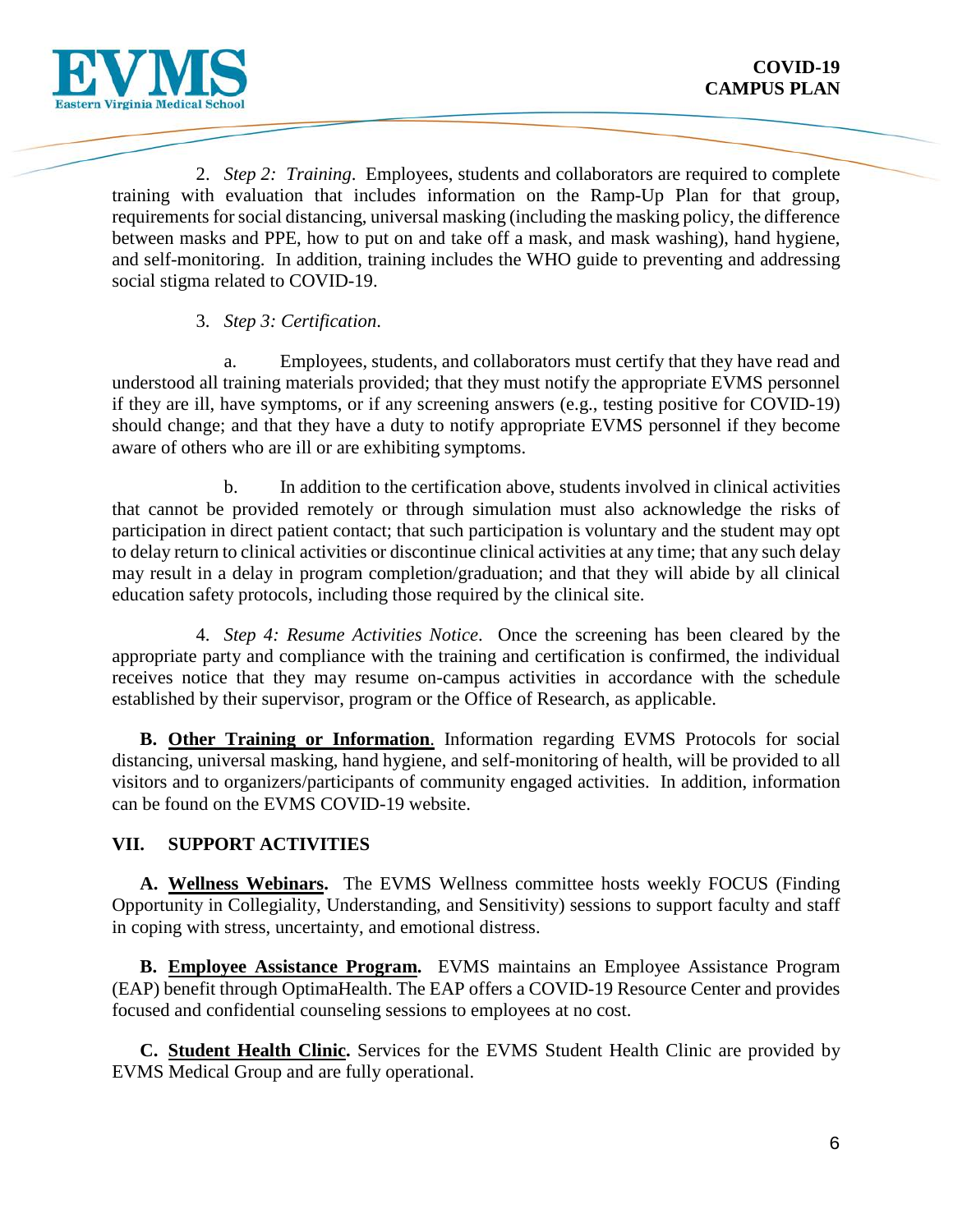

2. *Step 2: Training*. Employees, students and collaborators are required to complete training with evaluation that includes information on the Ramp-Up Plan for that group, requirements for social distancing, universal masking (including the masking policy, the difference between masks and PPE, how to put on and take off a mask, and mask washing), hand hygiene, and self-monitoring. In addition, training includes the WHO guide to preventing and addressing social stigma related to COVID-19.

# 3. *Step 3: Certification*.

a. Employees, students, and collaborators must certify that they have read and understood all training materials provided; that they must notify the appropriate EVMS personnel if they are ill, have symptoms, or if any screening answers (e.g., testing positive for COVID-19) should change; and that they have a duty to notify appropriate EVMS personnel if they become aware of others who are ill or are exhibiting symptoms.

education safety protocols, including those required by the clinical site. b. In addition to the certification above, students involved in clinical activities that cannot be provided remotely or through simulation must also acknowledge the risks of participation in direct patient contact; that such participation is voluntary and the student may opt to delay return to clinical activities or discontinue clinical activities at any time; that any such delay may result in a delay in program completion/graduation; and that they will abide by all clinical

 education safety protocols, including those required by the clinical site. 4. *Step 4: Resume Activities Notice*. Once the screening has been cleared by the appropriate party and compliance with the training and certification is confirmed, the individual receives notice that they may resume on-campus activities in accordance with the schedule established by their supervisor, program or the Office of Research, as applicable.

**B. Other Training or Information**. Information regarding EVMS Protocols for social distancing, universal masking, hand hygiene, and self-monitoring of health, will be provided to all visitors and to organizers/participants of community engaged activities. In addition, information can be found on the EVMS COVID-19 website.

# **VII. SUPPORT ACTIVITIES**

 Opportunity in Collegiality, Understanding, and Sensitivity) sessions to support faculty and staff **A. Wellness Webinars.** The EVMS Wellness committee hosts weekly FOCUS (Finding in coping with stress, uncertainty, and emotional distress.

**B. Employee Assistance Program.** EVMS maintains an Employee Assistance Program (EAP) benefit through OptimaHealth. The EAP offers a COVID-19 Resource Center and provides focused and confidential counseling sessions to employees at no cost.

**C. Student Health Clinic.** Services for the EVMS Student Health Clinic are provided by EVMS Medical Group and are fully operational.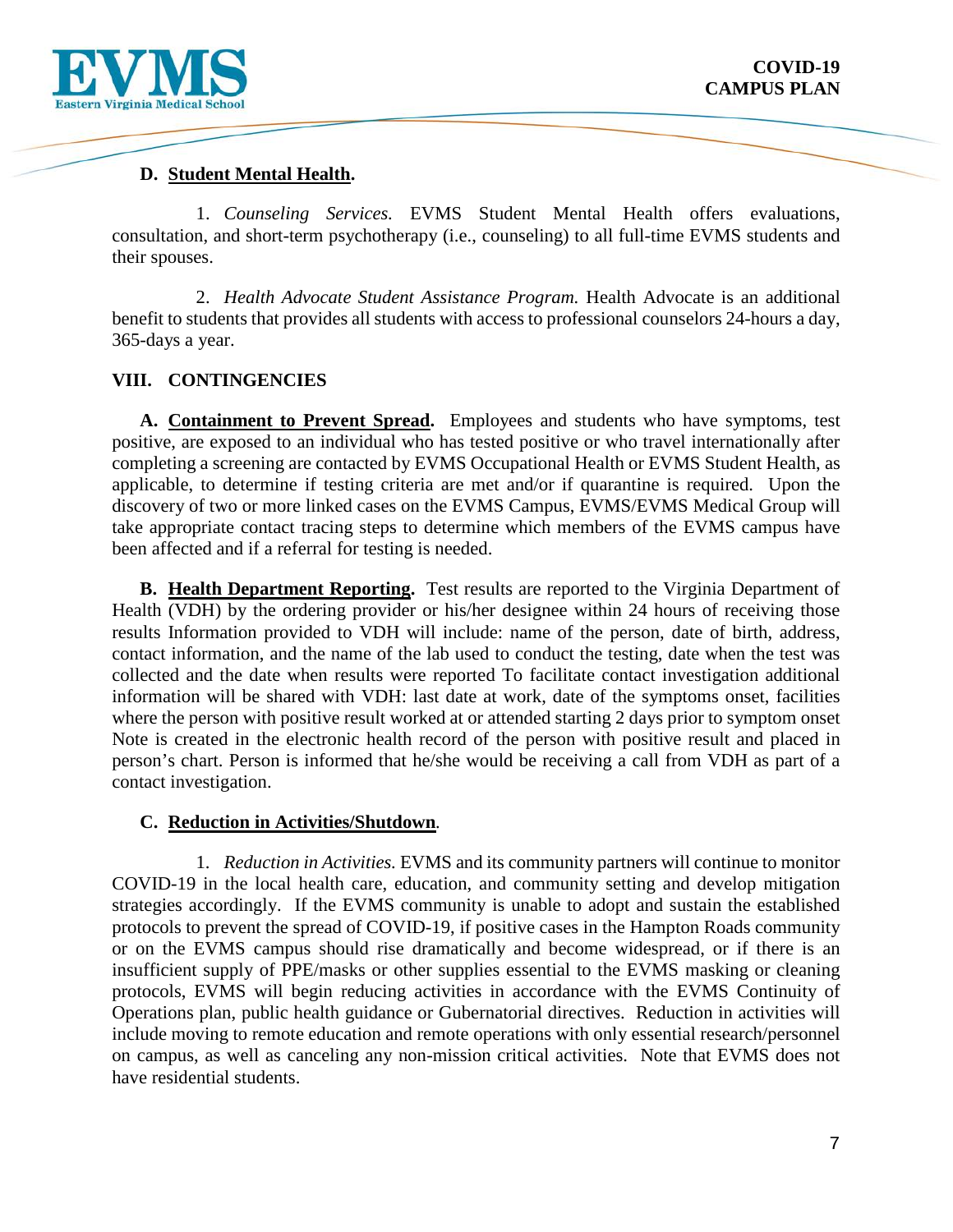



# CAMPUS PLAN CAMPUS PLAN CAMPUS PLAN CAMPUS PLAN CAMPUS PLAN CAMPUS PLAN CAMPUS PLAN CAMPUS PLAN CAMPUS PLAN CAMPUS PLAN CAMPUS PLAN CAMPUS PLAN CAMPUS PLAN CAMPUS PLAN CAMPUS PLAN CAMPUS PLAN CAMPUS PLAN CAMPUS PLAN CAMPUS

their spouses. 1. *Counseling Services.* EVMS Student Mental Health offers evaluations, consultation, and short-term psychotherapy (i.e., counseling) to all full-time EVMS students and

 benefit to students that provides all students with access to professional counselors 24-hours a day, their spouses. 2. *Health Advocate Student Assistance Program.* Health Advocate is an additional 365-days a year.

# **VIII. CONTINGENCIES**

 discovery of two or more linked cases on the EVMS Campus, EVMS/EVMS Medical Group will **A. Containment to Prevent Spread.** Employees and students who have symptoms, test positive, are exposed to an individual who has tested positive or who travel internationally after completing a screening are contacted by EVMS Occupational Health or EVMS Student Health, as applicable, to determine if testing criteria are met and/or if quarantine is required. Upon the take appropriate contact tracing steps to determine which members of the EVMS campus have been affected and if a referral for testing is needed.

 person's chart. Person is informed that he/she would be receiving a call from VDH as part of a **B. Health Department Reporting.** Test results are reported to the Virginia Department of Health (VDH) by the ordering provider or his/her designee within 24 hours of receiving those results Information provided to VDH will include: name of the person, date of birth, address, contact information, and the name of the lab used to conduct the testing, date when the test was collected and the date when results were reported To facilitate contact investigation additional information will be shared with VDH: last date at work, date of the symptoms onset, facilities where the person with positive result worked at or attended starting 2 days prior to symptom onset Note is created in the electronic health record of the person with positive result and placed in contact investigation.

#### **C. Reduction in Activities/Shutdown***.*

protocols to prevent the spread of COVID-19, if positive cases in the Hampton Roads community protocols, EVMS will begin reducing activities in accordance with the EVMS Continuity of include moving to remote education and remote operations with only essential research/personnel on campus, as well as canceling any non-mission critical activities. Note that EVMS does not 1. *Reduction in Activities.* EVMS and its community partners will continue to monitor COVID-19 in the local health care, education, and community setting and develop mitigation strategies accordingly. If the EVMS community is unable to adopt and sustain the established or on the EVMS campus should rise dramatically and become widespread, or if there is an insufficient supply of PPE/masks or other supplies essential to the EVMS masking or cleaning Operations plan, public health guidance or Gubernatorial directives. Reduction in activities will have residential students.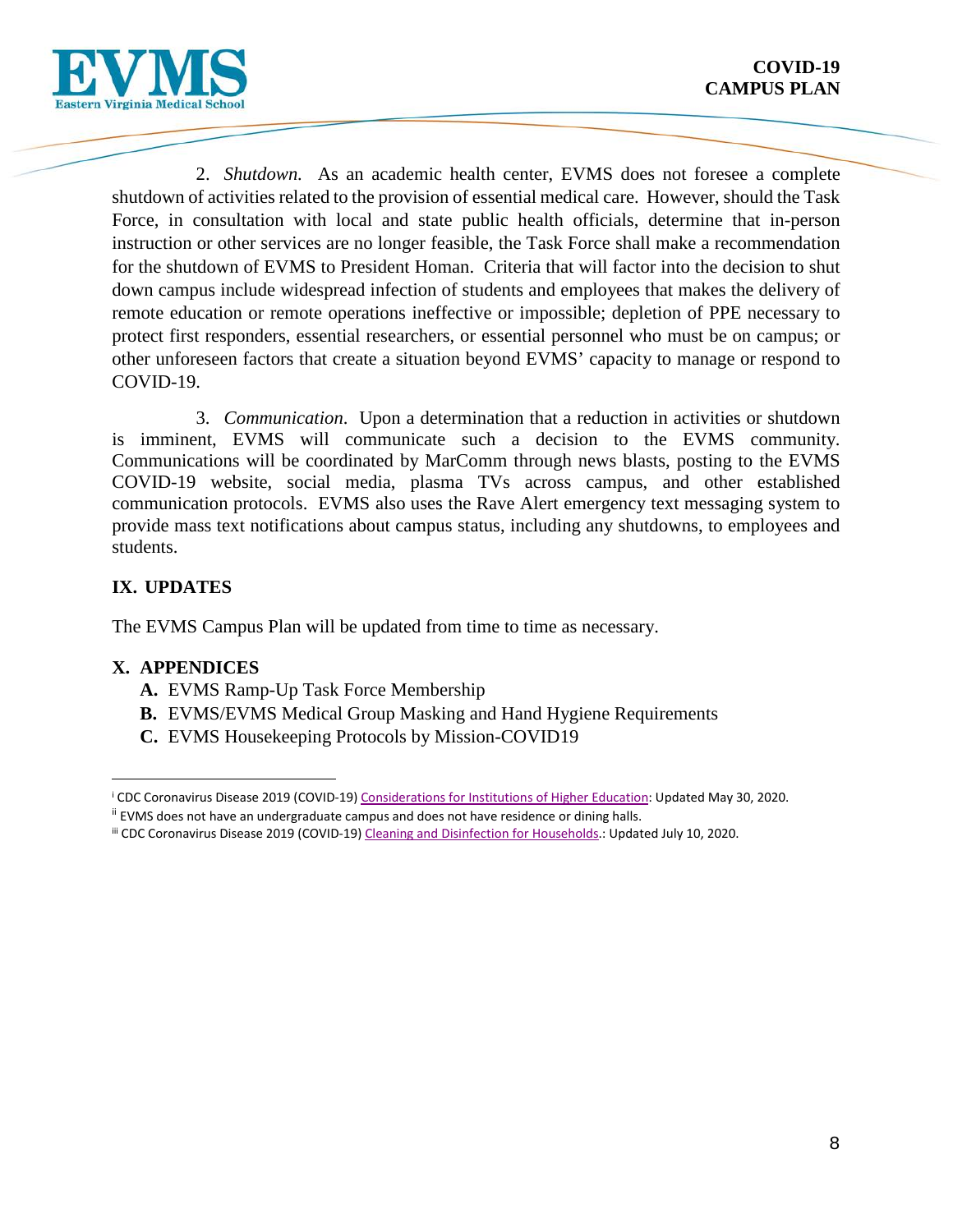

 shutdown of activities related to the provision of essential medical care. However, should the Task remote education or remote operations ineffective or impossible; depletion of PPE necessary to protect first responders, essential researchers, or essential personnel who must be on campus; or other unforeseen factors that create a situation beyond EVMS' capacity to manage or respond to COVID-19. 2. *Shutdown.* As an academic health center, EVMS does not foresee a complete Force, in consultation with local and state public health officials, determine that in-person instruction or other services are no longer feasible, the Task Force shall make a recommendation for the shutdown of EVMS to President Homan. Criteria that will factor into the decision to shut down campus include widespread infection of students and employees that makes the delivery of

 COVID-19. 3. *Communication*. Upon a determination that a reduction in activities or shutdown is imminent, EVMS will communicate such a decision to the EVMS community. provide mass text notifications about campus status, including any shutdowns, to employees and Communications will be coordinated by MarComm through news blasts, posting to the EVMS COVID-19 website, social media, plasma TVs across campus, and other established communication protocols. EVMS also uses the Rave Alert emergency text messaging system to students.

# **IX. UPDATES**

The EVMS Campus Plan will be updated from time to time as necessary.

# **X. APPENDICES**

- **A.** EVMS Ramp-Up Task Force Membership
- **B.** EVMS/EVMS Medical Group Masking and Hand Hygiene Requirements
- **C.** EVMS Housekeeping Protocols by Mission-COVID19

<span id="page-7-0"></span><sup>&</sup>lt;sup>i</sup> CDC Coronavirus Disease 2019 (COVID-19) <u>Considerations for Institutions of Higher Education</u>: Updated May 30, 2020.<br><sup>ii</sup> EVMS does not have an undergraduate campus and does not have residence or dining halls.<br><sup>iii</sup> CD Ĩ.

<span id="page-7-1"></span>ii EVMS does not have an undergraduate campus and does not have residence or dining halls.

<span id="page-7-2"></span>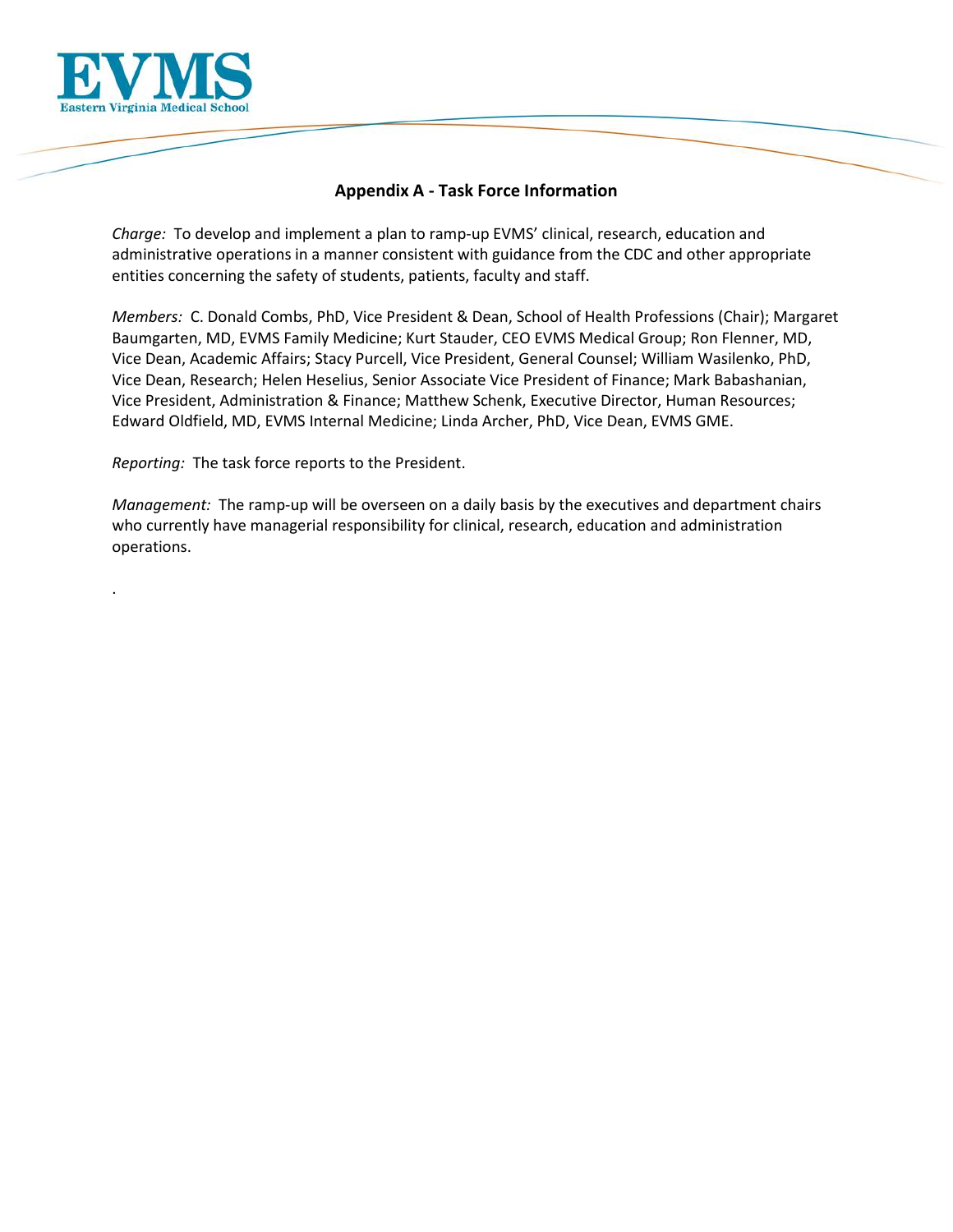

.

# **Appendix A - Task Force Information**

 *Charge:* To develop and implement a plan to ramp-up EVMS' clinical, research, education and entities concerning the safety of students, patients, faculty and staff. administrative operations in a manner consistent with guidance from the CDC and other appropriate

 *Members:* C. Donald Combs, PhD, Vice President & Dean, School of Health Professions (Chair); Margaret Baumgarten, MD, EVMS Family Medicine; Kurt Stauder, CEO EVMS Medical Group; Ron Flenner, MD, Vice Dean, Academic Affairs; Stacy Purcell, Vice President, General Counsel; William Wasilenko, PhD, Vice President, Administration & Finance; Matthew Schenk, Executive Director, Human Resources; Edward Oldfield, MD, EVMS Internal Medicine; Linda Archer, PhD, Vice Dean, EVMS GME. Vice Dean, Research; Helen Heselius, Senior Associate Vice President of Finance; Mark Babashanian,

*Reporting:* The task force reports to the President.

 *Management:* The ramp-up will be overseen on a daily basis by the executives and department chairs who currently have managerial responsibility for clinical, research, education and administration operations.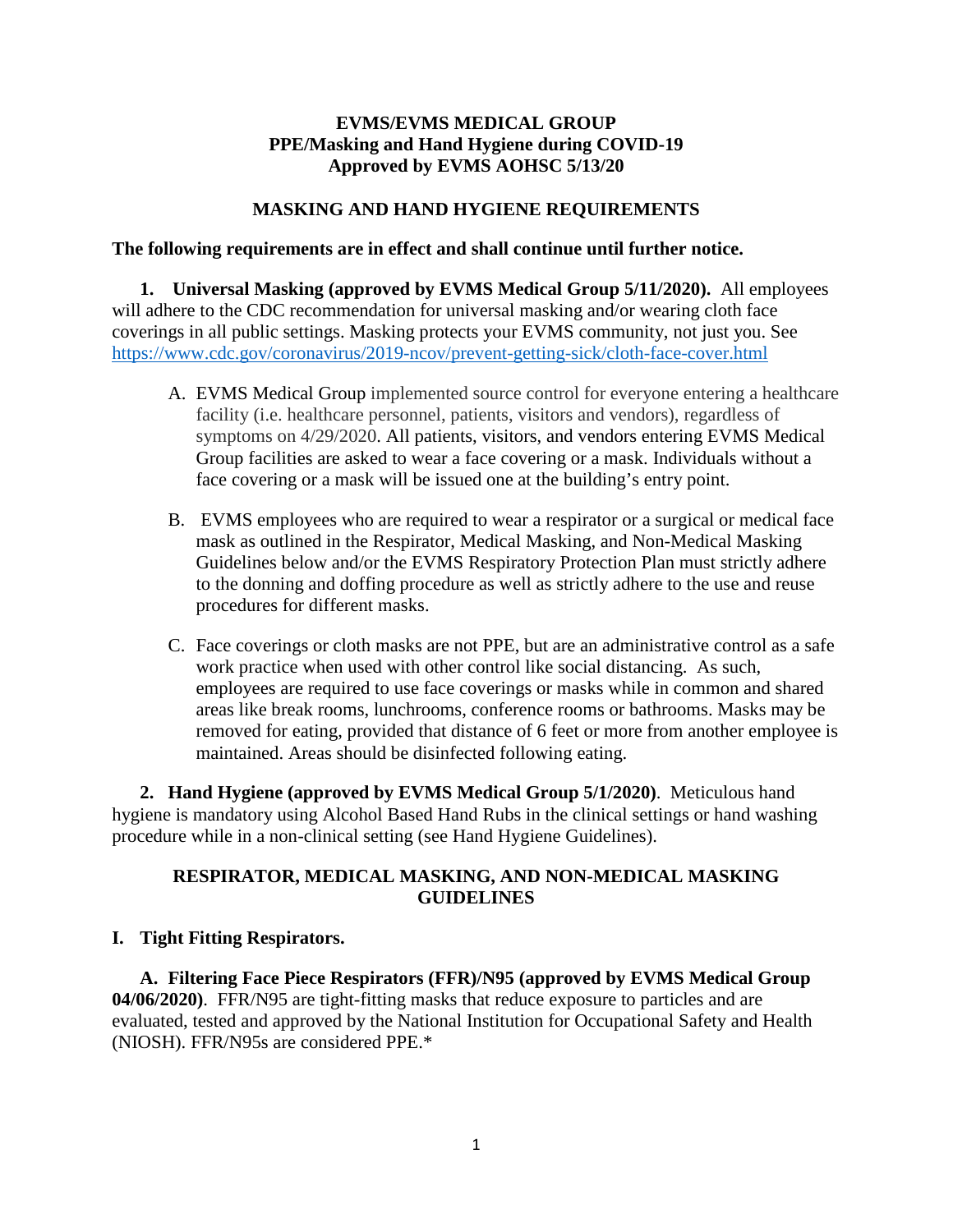# **EVMS/EVMS MEDICAL GROUP PPE/Masking and Hand Hygiene during COVID-19 Approved by EVMS AOHSC 5/13/20**

#### **MASKING AND HAND HYGIENE REQUIREMENTS**

#### The following requirements are in effect and shall continue until further notice.

 **The following requirements are in effect and shall continue until further notice. 1. Universal Masking (approved by EVMS Medical Group 5/11/2020).** All employees coverings in all public settings. Masking protects your EVMS community, not just you. See will adhere to the CDC recommendation for universal masking and/or wearing cloth face <https://www.cdc.gov/coronavirus/2019-ncov/prevent-getting-sick/cloth-face-cover.html>

- A. EVMS Medical Group implemented source control for everyone entering a healthcare facility (i.e. healthcare personnel, patients, visitors and vendors), regardless of symptoms on 4/29/2020. All patients, visitors, and vendors entering EVMS Medical Group facilities are asked to wear a face covering or a mask. Individuals without a face covering or a mask will be issued one at the building's entry point.
- mask as outlined in the Respirator, Medical Masking, and Non-Medical Masking procedures for different masks. B. EVMS employees who are required to wear a respirator or a surgical or medical face Guidelines below and/or the EVMS Respiratory Protection Plan must strictly adhere to the donning and doffing procedure as well as strictly adhere to the use and reuse
- maintained. Areas should be disinfected following eating. C. Face coverings or cloth masks are not PPE, but are an administrative control as a safe work practice when used with other control like social distancing. As such, employees are required to use face coverings or masks while in common and shared areas like break rooms, lunchrooms, conference rooms or bathrooms. Masks may be removed for eating, provided that distance of 6 feet or more from another employee is

 hygiene is mandatory using Alcohol Based Hand Rubs in the clinical settings or hand washing **2. Hand Hygiene (approved by EVMS Medical Group 5/1/2020)**. Meticulous hand procedure while in a non-clinical setting (see Hand Hygiene Guidelines).

# **RESPIRATOR, MEDICAL MASKING, AND NON-MEDICAL MASKING GUIDELINES**

#### **I. Tight Fitting Respirators.**

 evaluated, tested and approved by the National Institution for Occupational Safety and Health (NIOSH). FFR/N95s are considered PPE.\* **A. Filtering Face Piece Respirators (FFR)/N95 (approved by EVMS Medical Group 04/06/2020)**. FFR/N95 are tight-fitting masks that reduce exposure to particles and are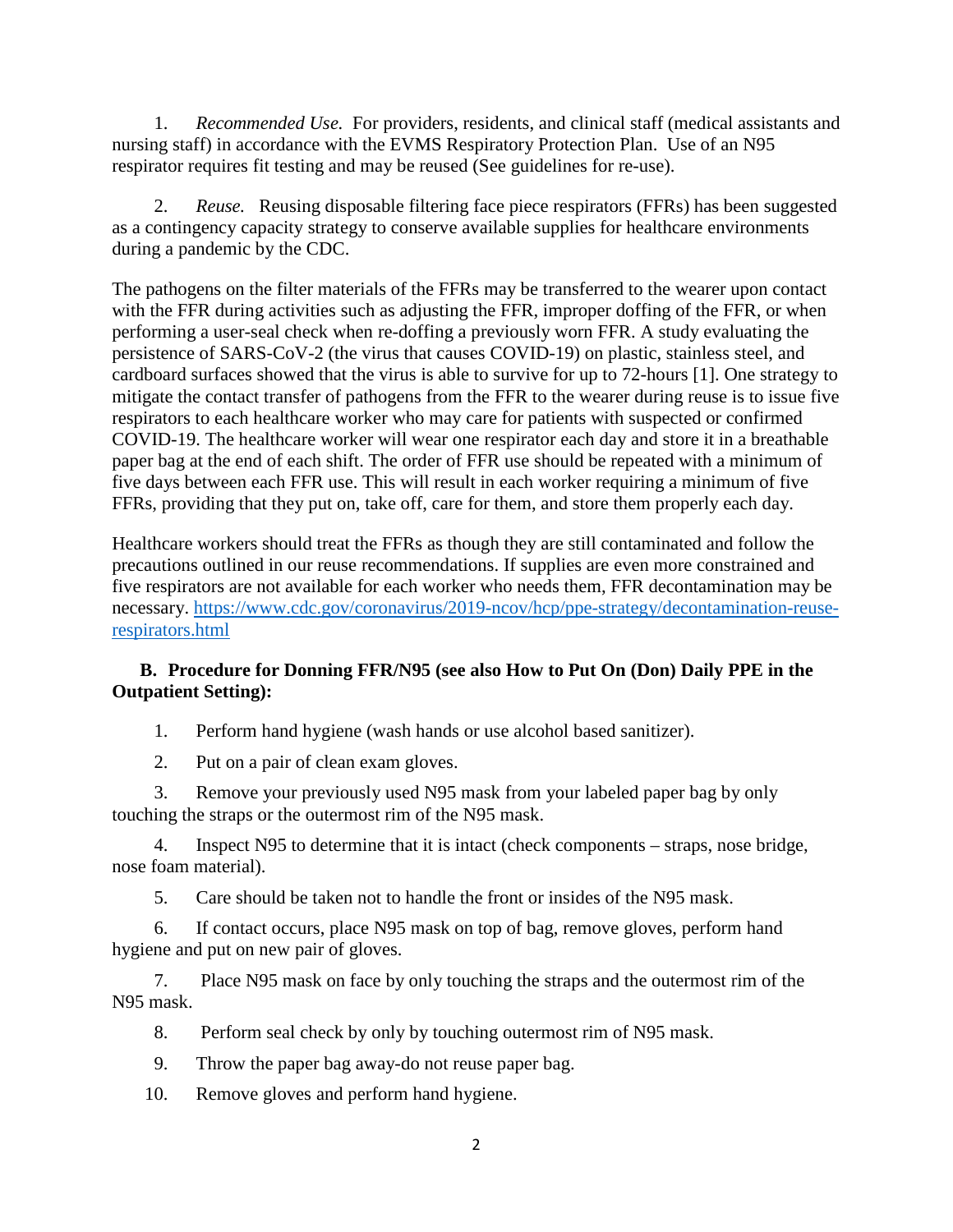1. *Recommended Use*. For providers, residents, and clinical staff (medical assistants and nursing staff) in accordance with the EVMS Respiratory Protection Plan. Use of an N95 respirator requires fit testing and may be reused (See guidelines for re-use).

 2. *Reuse.* Reusing disposable filtering face piece respirators (FFRs) has been suggested as a contingency capacity strategy to conserve available supplies for healthcare environments during a pandemic by the CDC.

 five days between each FFR use. This will result in each worker requiring a minimum of five FFRs, providing that they put on, take off, care for them, and store them properly each day. The pathogens on the filter materials of the FFRs may be transferred to the wearer upon contact with the FFR during activities such as adjusting the FFR, improper doffing of the FFR, or when performing a user-seal check when re-doffing a previously worn FFR. A study evaluating the persistence of SARS-CoV-2 (the virus that causes COVID-19) on plastic, stainless steel, and cardboard surfaces showed that the virus is able to survive for up to 72-hours [1]. One strategy to mitigate the contact transfer of pathogens from the FFR to the wearer during reuse is to issue five respirators to each healthcare worker who may care for patients with suspected or confirmed COVID-19. The healthcare worker will wear one respirator each day and store it in a breathable paper bag at the end of each shift. The order of FFR use should be repeated with a minimum of

Healthcare workers should treat the FFRs as though they are still contaminated and follow the precautions outlined in our reuse recommendations. If supplies are even more constrained and five respirators are not available for each worker who needs them, FFR decontamination may be necessary. [https://www.cdc.gov/coronavirus/2019-ncov/hcp/ppe-strategy/decontamination-reuse](https://www.cdc.gov/coronavirus/2019-ncov/hcp/ppe-strategy/decontamination-reuse-respirators.html)[respirators.html](https://www.cdc.gov/coronavirus/2019-ncov/hcp/ppe-strategy/decontamination-reuse-respirators.html) 

# **B. Procedure for Donning FFR/N95 (see also How to Put On (Don) Daily PPE in the Outpatient Setting):**

1. Perform hand hygiene (wash hands or use alcohol based sanitizer).

2. Put on a pair of clean exam gloves.

3. Remove your previously used N95 mask from your labeled paper bag by only touching the straps or the outermost rim of the N95 mask.

 4. Inspect N95 to determine that it is intact (check components – straps, nose bridge, nose foam material).

5. Care should be taken not to handle the front or insides of the N95 mask.

 hygiene and put on new pair of gloves. 6. If contact occurs, place N95 mask on top of bag, remove gloves, perform hand

7. Place N95 mask on face by only touching the straps and the outermost rim of the N95 mask.

- 8. Perform seal check by only by touching outermost rim of N95 mask.
- 9. Throw the paper bag away-do not reuse paper bag.
- 10. Remove gloves and perform hand hygiene.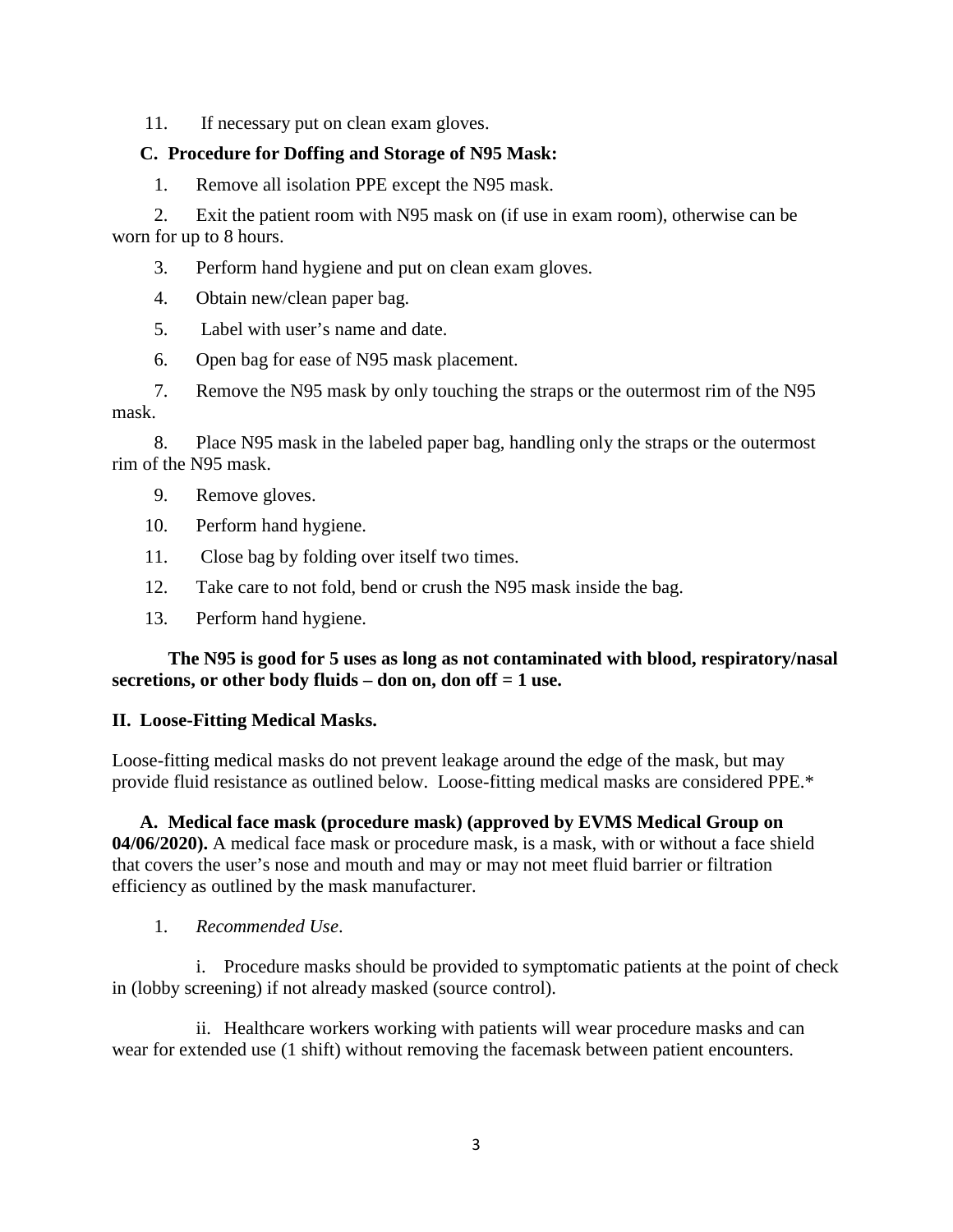11. If necessary put on clean exam gloves.

# **C. Procedure for Doffing and Storage of N95 Mask:**

1. Remove all isolation PPE except the N95 mask.

2. Exit the patient room with N95 mask on (if use in exam room), otherwise can be worn for up to 8 hours.

3. Perform hand hygiene and put on clean exam gloves.

4. Obtain new/clean paper bag.

5. Label with user's name and date.

6. Open bag for ease of N95 mask placement.

7. Remove the N95 mask by only touching the straps or the outermost rim of the N95 mask.

8. Place N95 mask in the labeled paper bag, handling only the straps or the outermost rim of the N95 mask.

9. Remove gloves.

- 10. Perform hand hygiene.
- 11. Close bag by folding over itself two times.
- 12. Take care to not fold, bend or crush the N95 mask inside the bag.
- 13. Perform hand hygiene.

# **The N95 is good for 5 uses as long as not contaminated with blood, respiratory/nasal secretions, or other body fluids – don on, don off = 1 use.**

#### **II. Loose-Fitting Medical Masks.**

 Loose-fitting medical masks do not prevent leakage around the edge of the mask, but may provide fluid resistance as outlined below. Loose-fitting medical masks are considered PPE.\*

 **04/06/2020).** A medical face mask or procedure mask, is a mask, with or without a face shield **A. Medical face mask (procedure mask) (approved by EVMS Medical Group on**  that covers the user's nose and mouth and may or may not meet fluid barrier or filtration efficiency as outlined by the mask manufacturer.

1. *Recommended Use*.

 in (lobby screening) if not already masked (source control). i. Procedure masks should be provided to symptomatic patients at the point of check

ii. Healthcare workers working with patients will wear procedure masks and can wear for extended use (1 shift) without removing the facemask between patient encounters.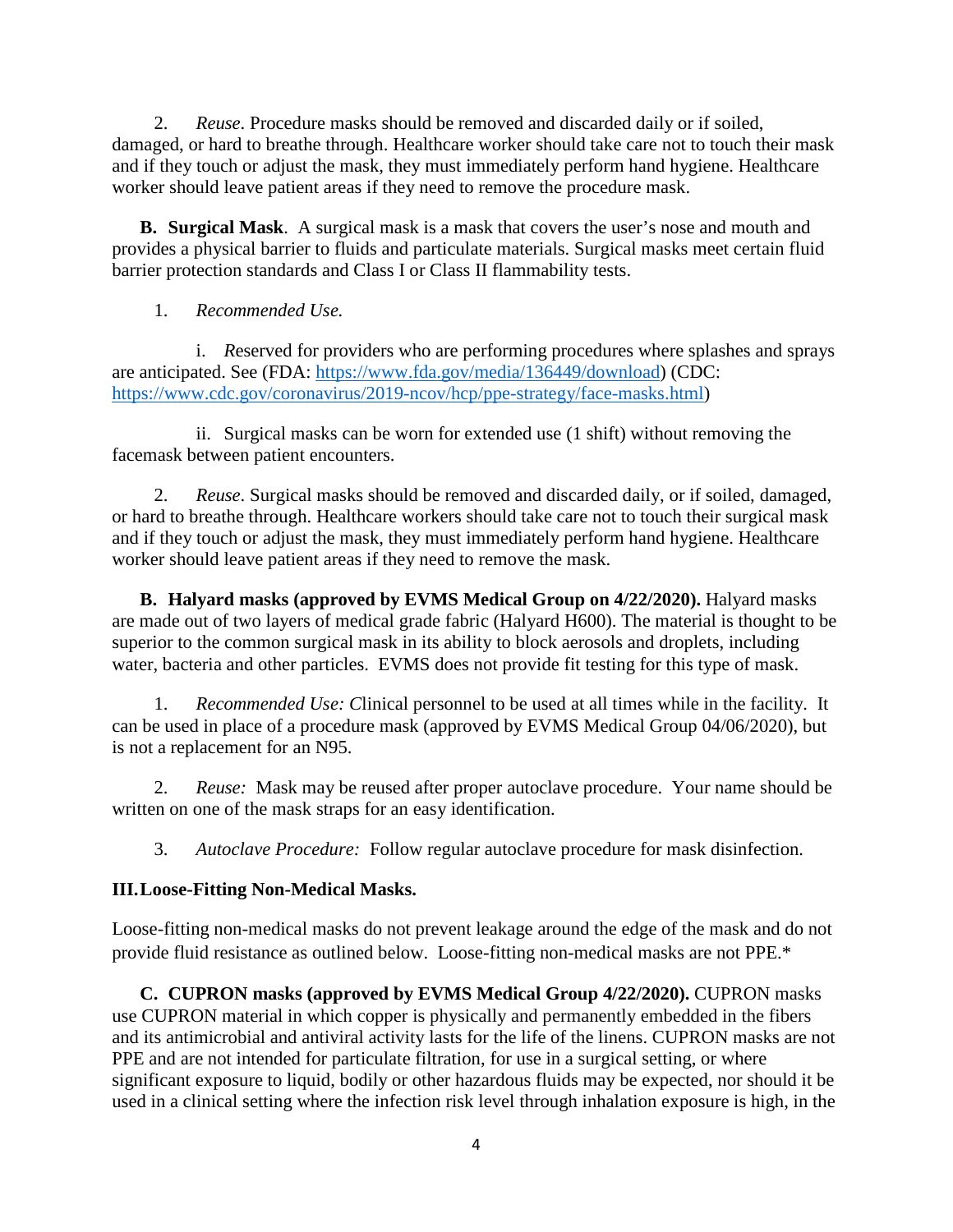damaged, or hard to breathe through. Healthcare worker should take care not to touch their mask 2. *Reuse*. Procedure masks should be removed and discarded daily or if soiled, and if they touch or adjust the mask, they must immediately perform hand hygiene. Healthcare worker should leave patient areas if they need to remove the procedure mask.

 barrier protection standards and Class I or Class II flammability tests. **B. Surgical Mask**. A surgical mask is a mask that covers the user's nose and mouth and provides a physical barrier to fluids and particulate materials. Surgical masks meet certain fluid

# 1. *Recommended Use.*

 i. *R*eserved for providers who are performing procedures where splashes and sprays are anticipated. See (FDA: [https://www.fda.gov/media/136449/download\)](https://www.fda.gov/media/136449/download) (CDC: [https://www.cdc.gov/coronavirus/2019-ncov/hcp/ppe-strategy/face-masks.html\)](https://www.cdc.gov/coronavirus/2019-ncov/hcp/ppe-strategy/face-masks.html)

 ii. Surgical masks can be worn for extended use (1 shift) without removing the facemask between patient encounters.

 worker should leave patient areas if they need to remove the mask. 2. *Reuse*. Surgical masks should be removed and discarded daily, or if soiled, damaged, or hard to breathe through. Healthcare workers should take care not to touch their surgical mask and if they touch or adjust the mask, they must immediately perform hand hygiene. Healthcare

**B. Halyard masks (approved by EVMS Medical Group on 4/22/2020).** Halyard masks are made out of two layers of medical grade fabric (Halyard H600). The material is thought to be superior to the common surgical mask in its ability to block aerosols and droplets, including water, bacteria and other particles. EVMS does not provide fit testing for this type of mask.

 1. *Recommended Use: C*linical personnel to be used at all times while in the facility. It can be used in place of a procedure mask (approved by EVMS Medical Group 04/06/2020), but is not a replacement for an N95.

 2. *Reuse:* Mask may be reused after proper autoclave procedure. Your name should be written on one of the mask straps for an easy identification.

 3. *Autoclave Procedure:* Follow regular autoclave procedure for mask disinfection.

# **III.Loose-Fitting Non-Medical Masks.**

 provide fluid resistance as outlined below. Loose-fitting non-medical masks are not PPE.\* Loose-fitting non-medical masks do not prevent leakage around the edge of the mask and do not

 PPE and are not intended for particulate filtration, for use in a surgical setting, or where **C. CUPRON masks (approved by EVMS Medical Group 4/22/2020).** CUPRON masks use CUPRON material in which copper is physically and permanently embedded in the fibers and its antimicrobial and antiviral activity lasts for the life of the linens. CUPRON masks are not significant exposure to liquid, bodily or other hazardous fluids may be expected, nor should it be used in a clinical setting where the infection risk level through inhalation exposure is high, in the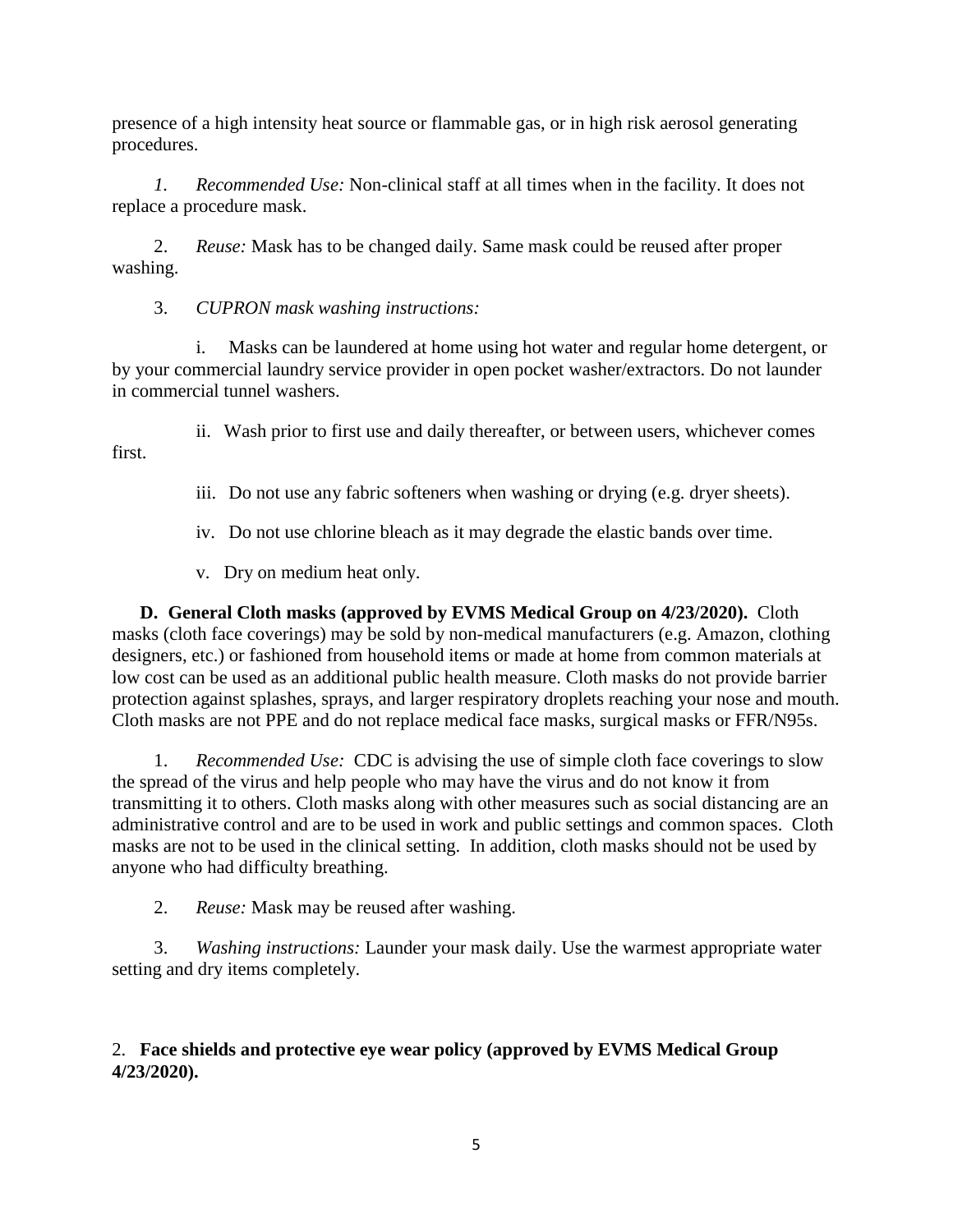presence of a high intensity heat source or flammable gas, or in high risk aerosol generating procedures.

*1. Recommended Use:* Non-clinical staff at all times when in the facility. It does not replace a procedure mask.

2. *Reuse:* Mask has to be changed daily. Same mask could be reused after proper washing.

3. *CUPRON mask washing instructions:* 

 by your commercial laundry service provider in open pocket washer/extractors. Do not launder i. Masks can be laundered at home using hot water and regular home detergent, or in commercial tunnel washers.

ii. Wash prior to first use and daily thereafter, or between users, whichever comes first.

iii. Do not use any fabric softeners when washing or drying (e.g. dryer sheets).

iv. Do not use chlorine bleach as it may degrade the elastic bands over time.

v. Dry on medium heat only.

 **D. General Cloth masks (approved by EVMS Medical Group on 4/23/2020).** Cloth protection against splashes, sprays, and larger respiratory droplets reaching your nose and mouth. masks (cloth face coverings) may be sold by non-medical manufacturers (e.g. Amazon, clothing designers, etc.) or fashioned from household items or made at home from common materials at low cost can be used as an additional public health measure. Cloth masks do not provide barrier Cloth masks are not PPE and do not replace medical face masks, surgical masks or FFR/N95s.

 transmitting it to others. Cloth masks along with other measures such as social distancing are an anyone who had difficulty breathing. 1. *Recommended Use:* CDC is advising the use of simple cloth face coverings to slow the spread of the virus and help people who may have the virus and do not know it from administrative control and are to be used in work and public settings and common spaces. Cloth masks are not to be used in the clinical setting. In addition, cloth masks should not be used by

2. *Reuse:* Mask may be reused after washing.

 setting and dry items completely. 3. *Washing instructions:* Launder your mask daily. Use the warmest appropriate water

# 2. **Face shields and protective eye wear policy (approved by EVMS Medical Group 4/23/2020).**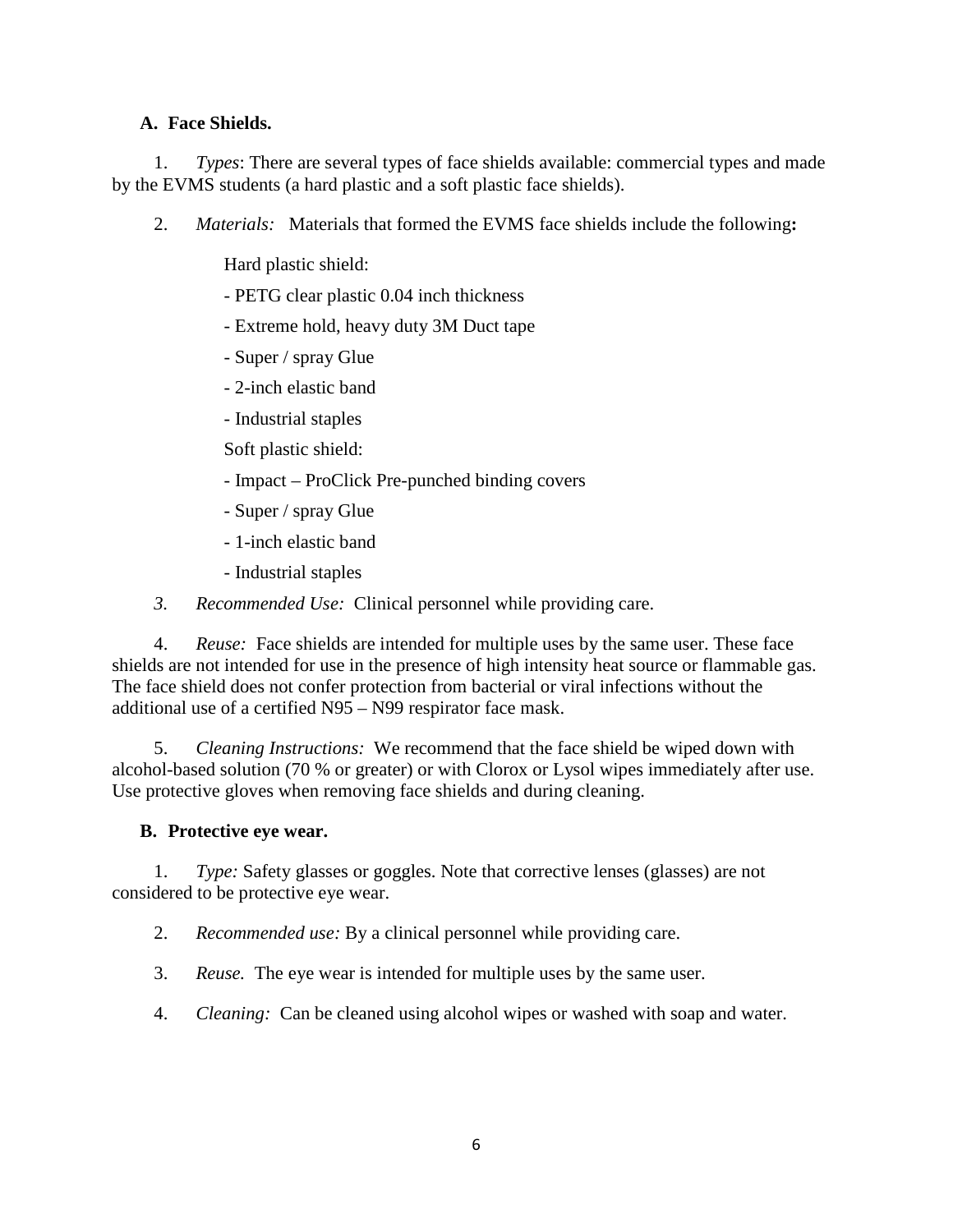# **A. Face Shields.**

 1. *Types*: There are several types of face shields available: commercial types and made by the EVMS students (a hard plastic and a soft plastic face shields).

- 2. *Materials:* Materials that formed the EVMS face shields include the following**:** 
	- Hard plastic shield:
	- PETG clear plastic 0.04 inch thickness
	- Extreme hold, heavy duty 3M Duct tape
	- Super / spray Glue
	- 2-inch elastic band
	- Industrial staples
	- Soft plastic shield:
	- Impact ProClick Pre-punched binding covers
	- Super / spray Glue
	- 1-inch elastic band
	- Industrial staples
- *3. Recommended Use:* Clinical personnel while providing care.

 4. *Reuse:* Face shields are intended for multiple uses by the same user. These face shields are not intended for use in the presence of high intensity heat source or flammable gas. The face shield does not confer protection from bacterial or viral infections without the additional use of a certified N95 – N99 respirator face mask.

 5. *Cleaning Instructions:* We recommend that the face shield be wiped down with alcohol-based solution (70 % or greater) or with Clorox or Lysol wipes immediately after use. Use protective gloves when removing face shields and during cleaning.

#### **B. Protective eye wear.**

considered to be protective eye wear. considered to be protective eye wear. 2. *Recommended use:* By a clinical personnel while providing care. 1. *Type:* Safety glasses or goggles. Note that corrective lenses (glasses) are not

- 
- 3. *Reuse.* The eye wear is intended for multiple uses by the same user.
- 4. *Cleaning:* Can be cleaned using alcohol wipes or washed with soap and water.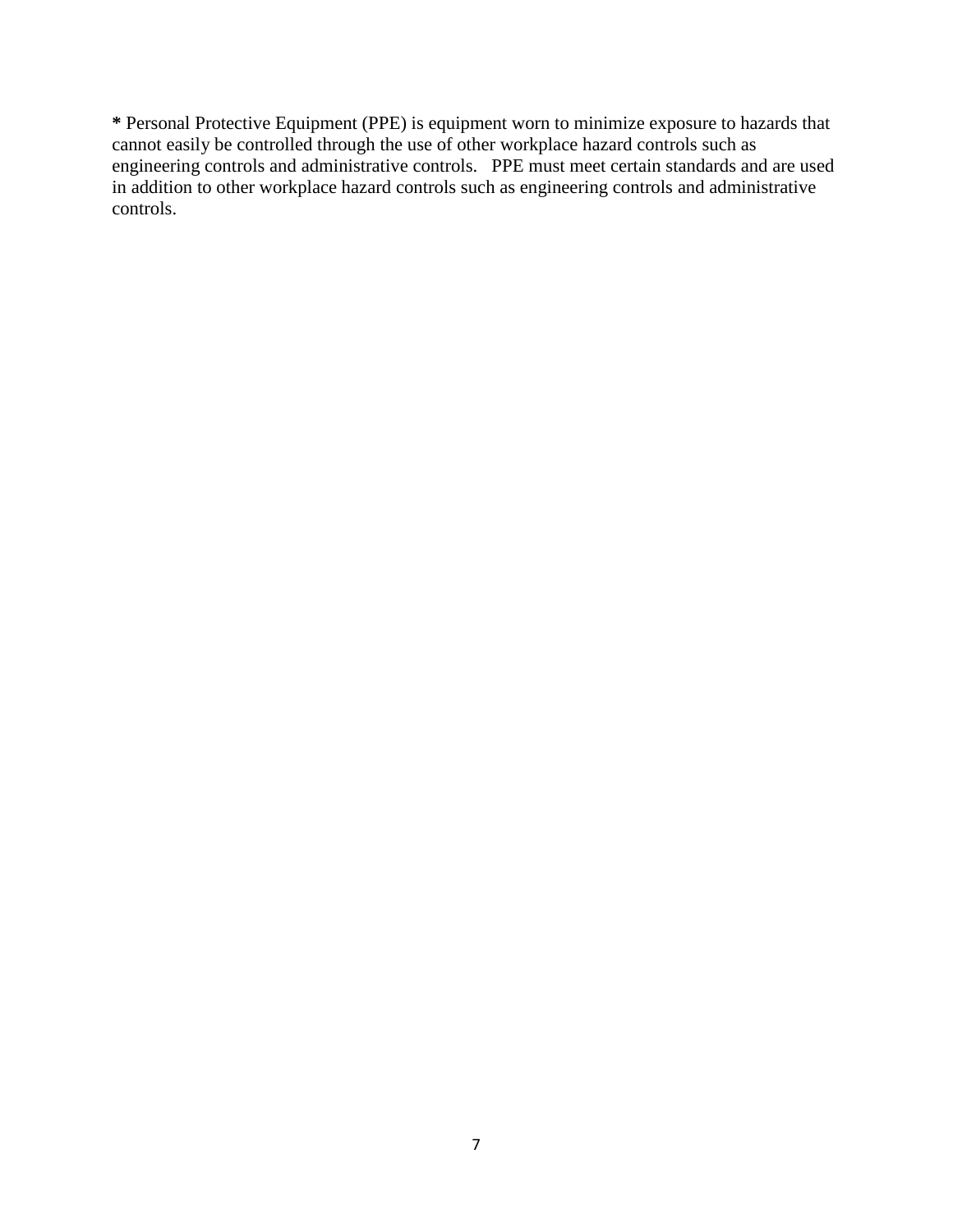**\*** Personal Protective Equipment (PPE) is equipment worn to minimize exposure to hazards that cannot easily be controlled through the use of other workplace hazard controls such as engineering controls and administrative controls. PPE must meet certain standards and are used in addition to other workplace hazard controls such as engineering controls and administrative controls.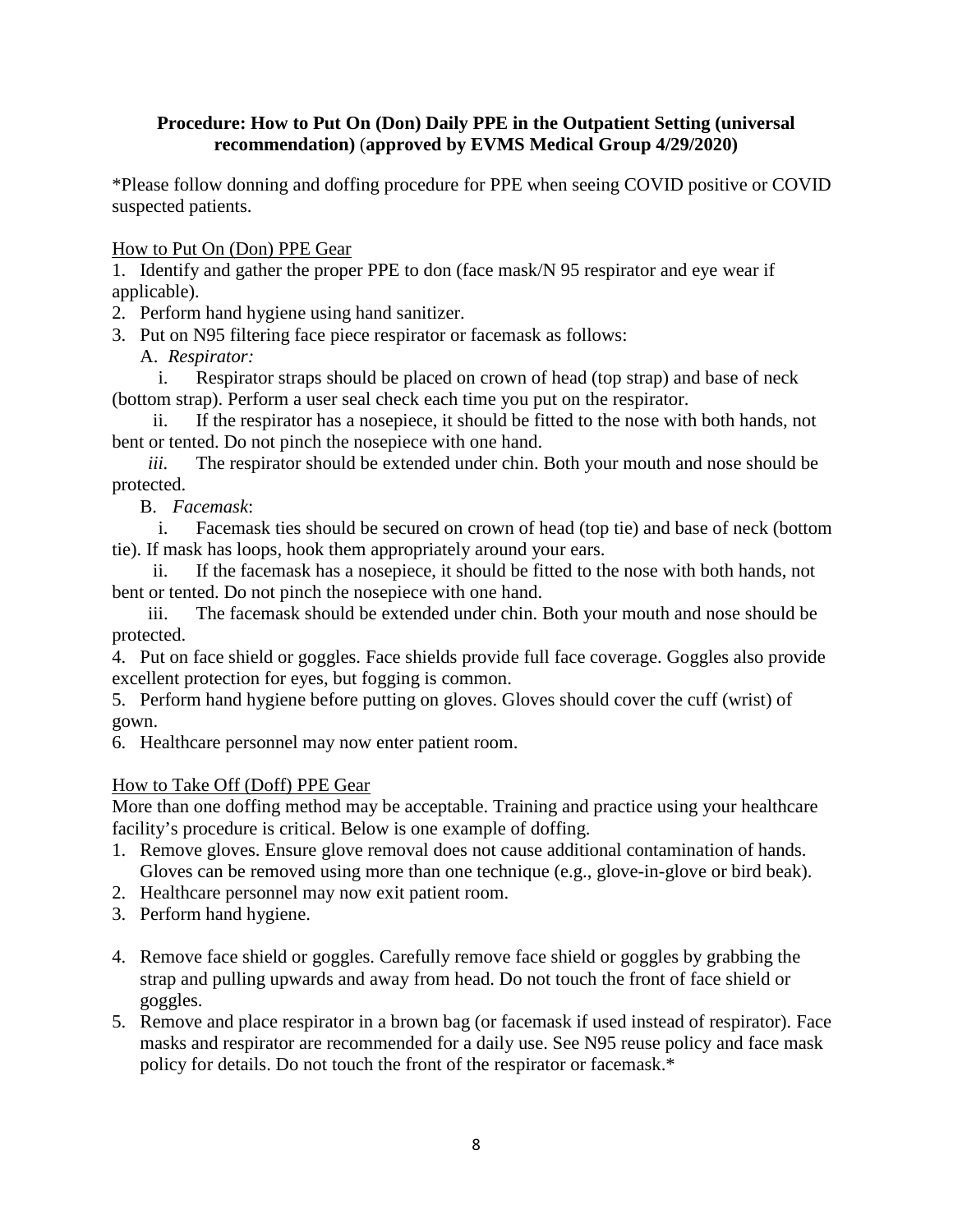# **Procedure: How to Put On (Don) Daily PPE in the Outpatient Setting (universal recommendation)** (**approved by EVMS Medical Group 4/29/2020)**

 \*Please follow donning and doffing procedure for PPE when seeing COVID positive or COVID suspected patients.

How to Put On (Don) PPE Gear

 1. Identify and gather the proper PPE to don (face mask/N 95 respirator and eye wear if applicable).

2. Perform hand hygiene using hand sanitizer.

3. Put on N95 filtering face piece respirator or facemask as follows:

 A. *Respirator:* 

 (bottom strap). Perform a user seal check each time you put on the respirator. i. Respirator straps should be placed on crown of head (top strap) and base of neck

ii. If the respirator has a nosepiece, it should be fitted to the nose with both hands, not bent or tented. Do not pinch the nosepiece with one hand.

*iii.* The respirator should be extended under chin. Both your mouth and nose should be protected.

B. *Facemask*:

i. Facemask ties should be secured on crown of head (top tie) and base of neck (bottom tie). If mask has loops, hook them appropriately around your ears.

ii. If the facemask has a nosepiece, it should be fitted to the nose with both hands, not bent or tented. Do not pinch the nosepiece with one hand.

iii. The facemask should be extended under chin. Both your mouth and nose should be protected.

4. Put on face shield or goggles. Face shields provide full face coverage. Goggles also provide excellent protection for eyes, but fogging is common.

5. Perform hand hygiene before putting on gloves. Gloves should cover the cuff (wrist) of gown.

6. Healthcare personnel may now enter patient room.

# How to Take Off (Doff) PPE Gear

More than one doffing method may be acceptable. Training and practice using your healthcare facility's procedure is critical. Below is one example of doffing.

- 1. Remove gloves. Ensure glove removal does not cause additional contamination of hands. Gloves can be removed using more than one technique (e.g., glove-in-glove or bird beak).
- 2. Healthcare personnel may now exit patient room.
- 3. Perform hand hygiene.
- 4. Remove face shield or goggles. Carefully remove face shield or goggles by grabbing the strap and pulling upwards and away from head. Do not touch the front of face shield or goggles.
- masks and respirator are recommended for a daily use. See N95 reuse policy and face mask 5. Remove and place respirator in a brown bag (or facemask if used instead of respirator). Face policy for details. Do not touch the front of the respirator or facemask.\*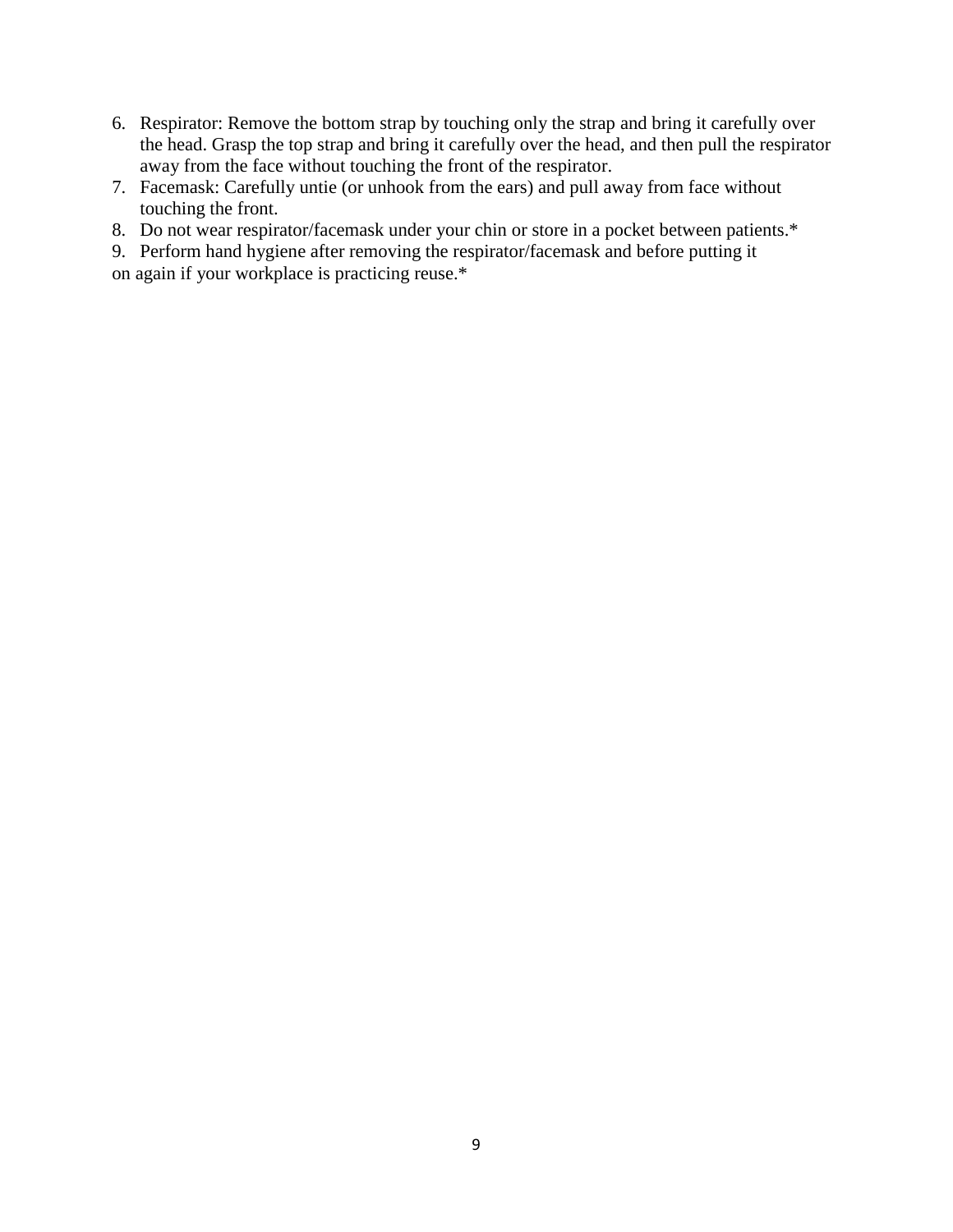- 6. Respirator: Remove the bottom strap by touching only the strap and bring it carefully over the head. Grasp the top strap and bring it carefully over the head, and then pull the respirator away from the face without touching the front of the respirator.
- 7. Facemask: Carefully untie (or unhook from the ears) and pull away from face without touching the front.
- 8. Do not wear respirator/facemask under your chin or store in a pocket between patients.\*
- on again if your workplace is practicing reuse.\* 9. Perform hand hygiene after removing the respirator/facemask and before putting it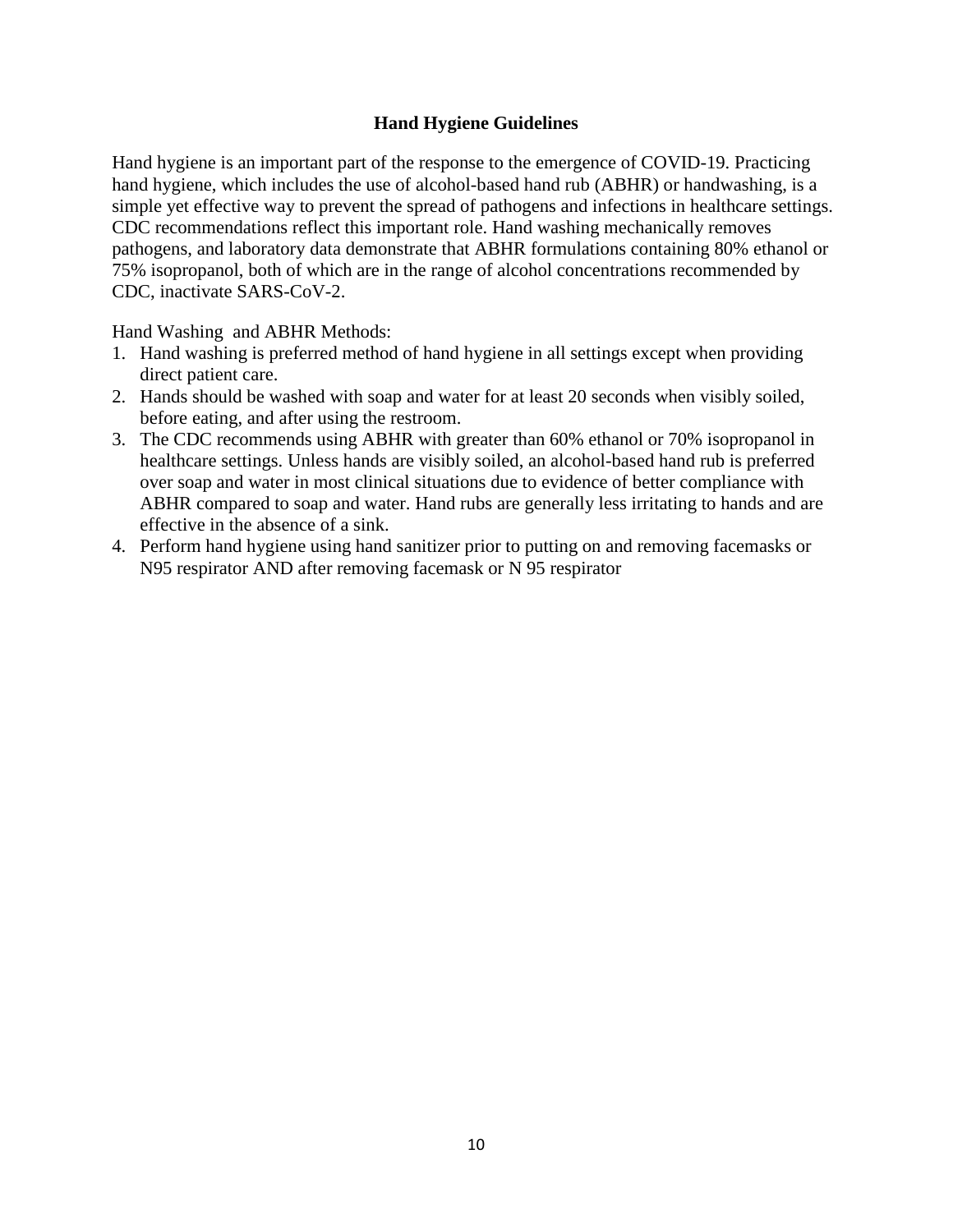# **Hand Hygiene Guidelines**

 pathogens, and laboratory data demonstrate that ABHR formulations containing 80% ethanol or Hand hygiene is an important part of the response to the emergence of COVID-19. Practicing hand hygiene, which includes the use of alcohol-based hand rub (ABHR) or handwashing, is a simple yet effective way to prevent the spread of pathogens and infections in healthcare settings. CDC recommendations reflect this important role. Hand washing mechanically removes 75% isopropanol, both of which are in the range of alcohol concentrations recommended by CDC, inactivate SARS-CoV-2.

Hand Washing and ABHR Methods:

- direct patient care. 1. Hand washing is preferred method of hand hygiene in all settings except when providing
- 2. Hands should be washed with soap and water for at least 20 seconds when visibly soiled, before eating, and after using the restroom.
- 3. The CDC recommends using ABHR with greater than 60% ethanol or 70% isopropanol in healthcare settings. Unless hands are visibly soiled, an alcohol-based hand rub is preferred over soap and water in most clinical situations due to evidence of better compliance with ABHR compared to soap and water. Hand rubs are generally less irritating to hands and are effective in the absence of a sink.
- N95 respirator AND after removing facemask or N 95 respirator 4. Perform hand hygiene using hand sanitizer prior to putting on and removing facemasks or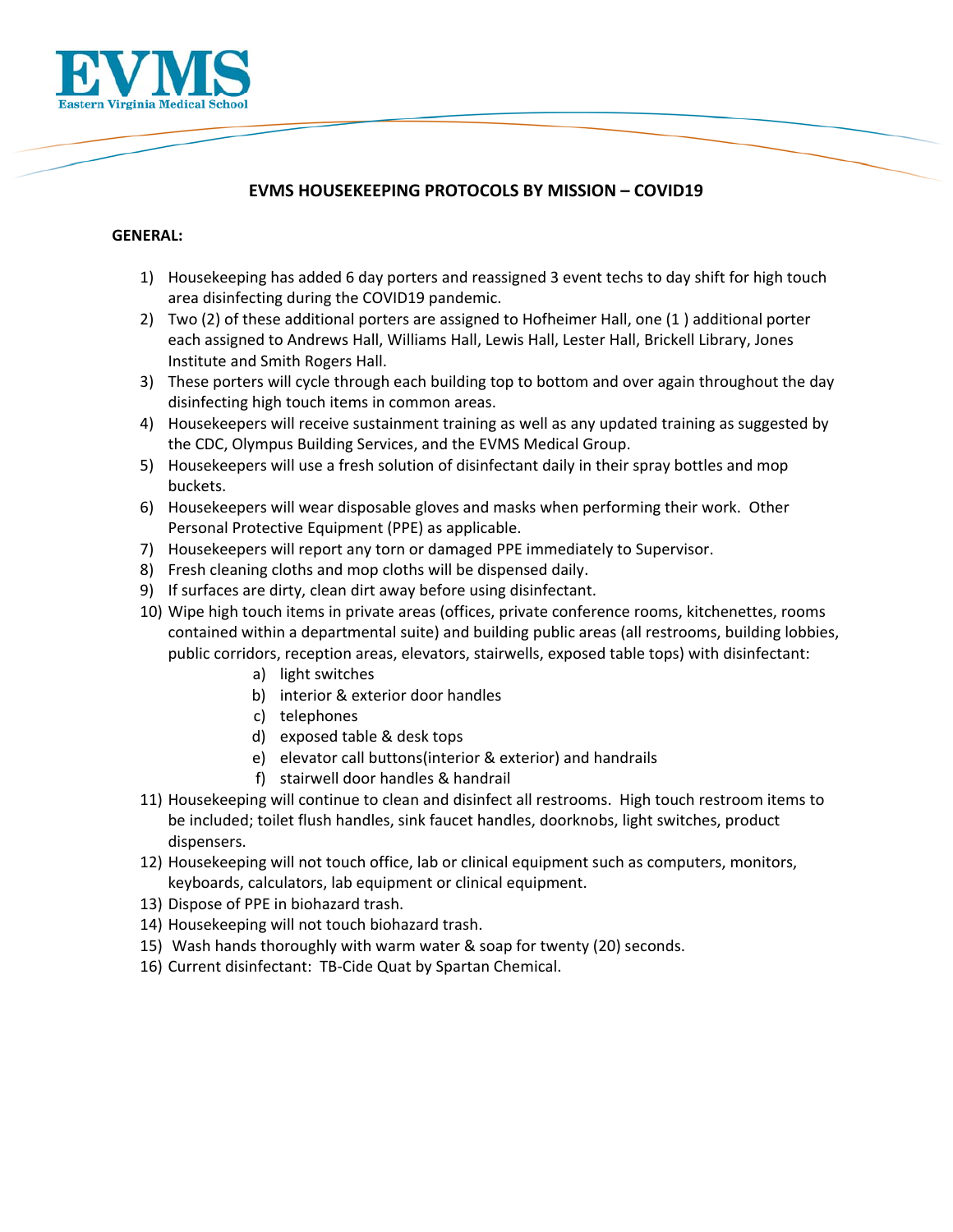

# **EVMS HOUSEKEEPING PROTOCOLS BY MISSION – COVID19**

#### **GENERAL:**

- 1) Housekeeping has added 6 day porters and reassigned 3 event techs to day shift for high touch area disinfecting during the COVID19 pandemic.
- 2) Two (2) of these additional porters are assigned to Hofheimer Hall, one (1 ) additional porter each assigned to Andrews Hall, Williams Hall, Lewis Hall, Lester Hall, Brickell Library, Jones Institute and Smith Rogers Hall.
- 3) These porters will cycle through each building top to bottom and over again throughout the day disinfecting high touch items in common areas.
- 4) Housekeepers will receive sustainment training as well as any updated training as suggested by the CDC, Olympus Building Services, and the EVMS Medical Group.
- 5) Housekeepers will use a fresh solution of disinfectant daily in their spray bottles and mop buckets.
- 6) Housekeepers will wear disposable gloves and masks when performing their work. Other Personal Protective Equipment (PPE) as applicable.
- 7) Housekeepers will report any torn or damaged PPE immediately to Supervisor.
- 8) Fresh cleaning cloths and mop cloths will be dispensed daily.
- 9) If surfaces are dirty, clean dirt away before using disinfectant.
- 10) Wipe high touch items in private areas (offices, private conference rooms, kitchenettes, rooms contained within a departmental suite) and building public areas (all restrooms, building lobbies, public corridors, reception areas, elevators, stairwells, exposed table tops) with disinfectant:
	- a) light switches
	- b) interior & exterior door handles
	- c) telephones
	- d) exposed table & desk tops
	- e) elevator call buttons(interior & exterior) and handrails
	- f) stairwell door handles & handrail
- 11) Housekeeping will continue to clean and disinfect all restrooms. High touch restroom items to be included; toilet flush handles, sink faucet handles, doorknobs, light switches, product dispensers.
- 12) Housekeeping will not touch office, lab or clinical equipment such as computers, monitors, keyboards, calculators, lab equipment or clinical equipment.
- 13) Dispose of PPE in biohazard trash.
- 14) Housekeeping will not touch biohazard trash.
- 15) Wash hands thoroughly with warm water & soap for twenty (20) seconds.
- 16) Current disinfectant: TB‐Cide Quat by Spartan Chemical.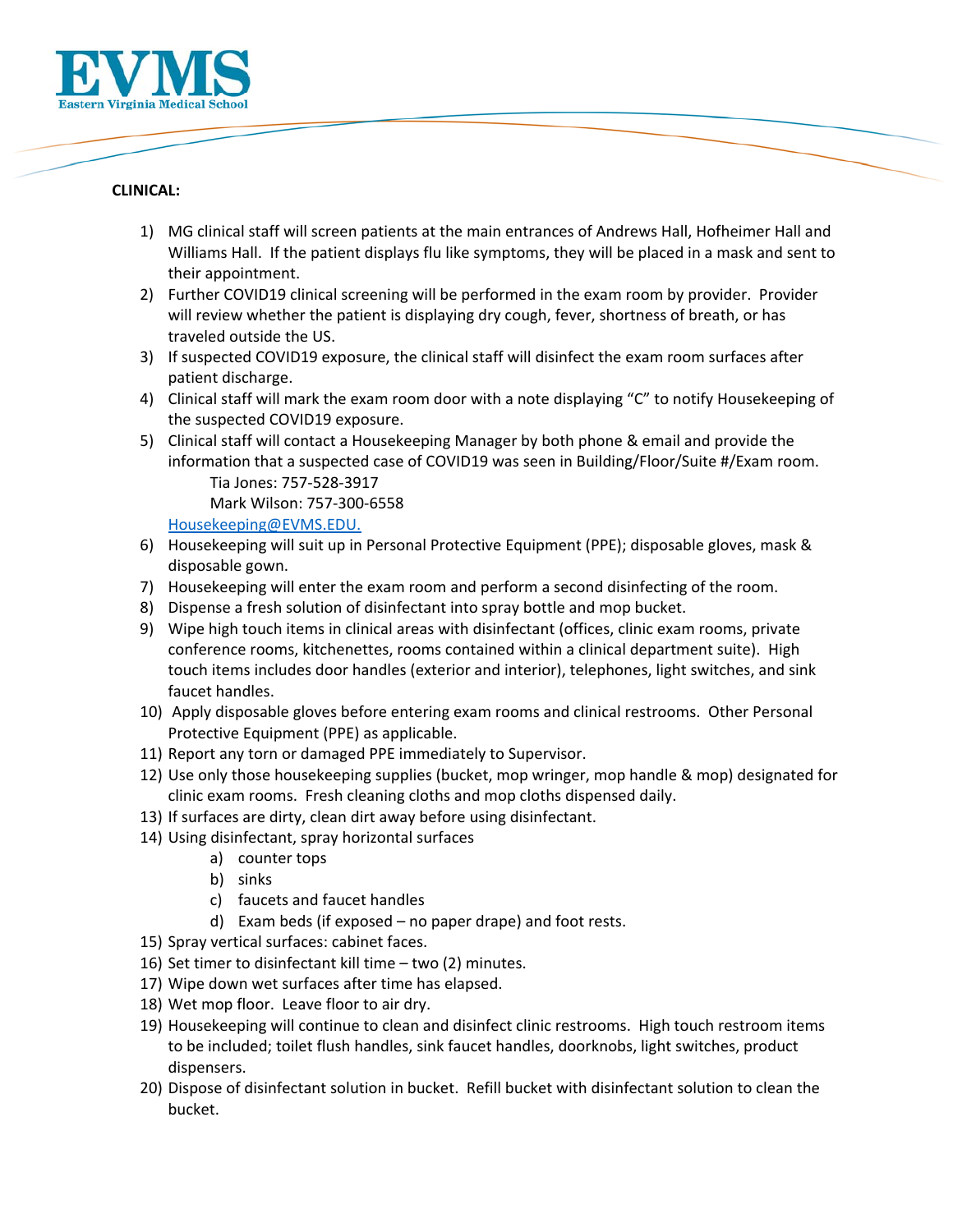

#### **CLINICAL:**

- 1) MG clinical staff will screen patients at the main entrances of Andrews Hall, Hofheimer Hall and Williams Hall. If the patient displays flu like symptoms, they will be placed in a mask and sent to their appointment.
- 2) Further COVID19 clinical screening will be performed in the exam room by provider. Provider will review whether the patient is displaying dry cough, fever, shortness of breath, or has traveled outside the US.
- 3) If suspected COVID19 exposure, the clinical staff will disinfect the exam room surfaces after patient discharge.
- 4) Clinical staff will mark the exam room door with a note displaying "C" to notify Housekeeping of the suspected COVID19 exposure.
- 5) Clinical staff will contact a Housekeeping Manager by both phone & email and provide the information that a suspected case of COVID19 was seen in Building/Floor/Suite #/Exam room. Tia Jones: 757‐528‐3917

Mark Wilson: 757‐300‐6558

Housekeeping@EVMS.EDU.

- 6) Housekeeping will suit up in Personal Protective Equipment (PPE); disposable gloves, mask & disposable gown.
- 7) Housekeeping will enter the exam room and perform a second disinfecting of the room.
- 8) Dispense a fresh solution of disinfectant into spray bottle and mop bucket.
- 9) Wipe high touch items in clinical areas with disinfectant (offices, clinic exam rooms, private conference rooms, kitchenettes, rooms contained within a clinical department suite). High touch items includes door handles (exterior and interior), telephones, light switches, and sink faucet handles.
- 10) Apply disposable gloves before entering exam rooms and clinical restrooms. Other Personal Protective Equipment (PPE) as applicable.
- 11) Report any torn or damaged PPE immediately to Supervisor.
- 12) Use only those housekeeping supplies (bucket, mop wringer, mop handle & mop) designated for clinic exam rooms. Fresh cleaning cloths and mop cloths dispensed daily.
- 13) If surfaces are dirty, clean dirt away before using disinfectant.
- 14) Using disinfectant, spray horizontal surfaces
	- a) counter tops
	- b) sinks
	- c) faucets and faucet handles
	- d) Exam beds (if exposed no paper drape) and foot rests.
- 15) Spray vertical surfaces: cabinet faces.
- 16) Set timer to disinfectant kill time two (2) minutes.
- 17) Wipe down wet surfaces after time has elapsed.
- 18) Wet mop floor. Leave floor to air dry.
- 19) Housekeeping will continue to clean and disinfect clinic restrooms. High touch restroom items to be included; toilet flush handles, sink faucet handles, doorknobs, light switches, product dispensers.
- 20) Dispose of disinfectant solution in bucket. Refill bucket with disinfectant solution to clean the bucket.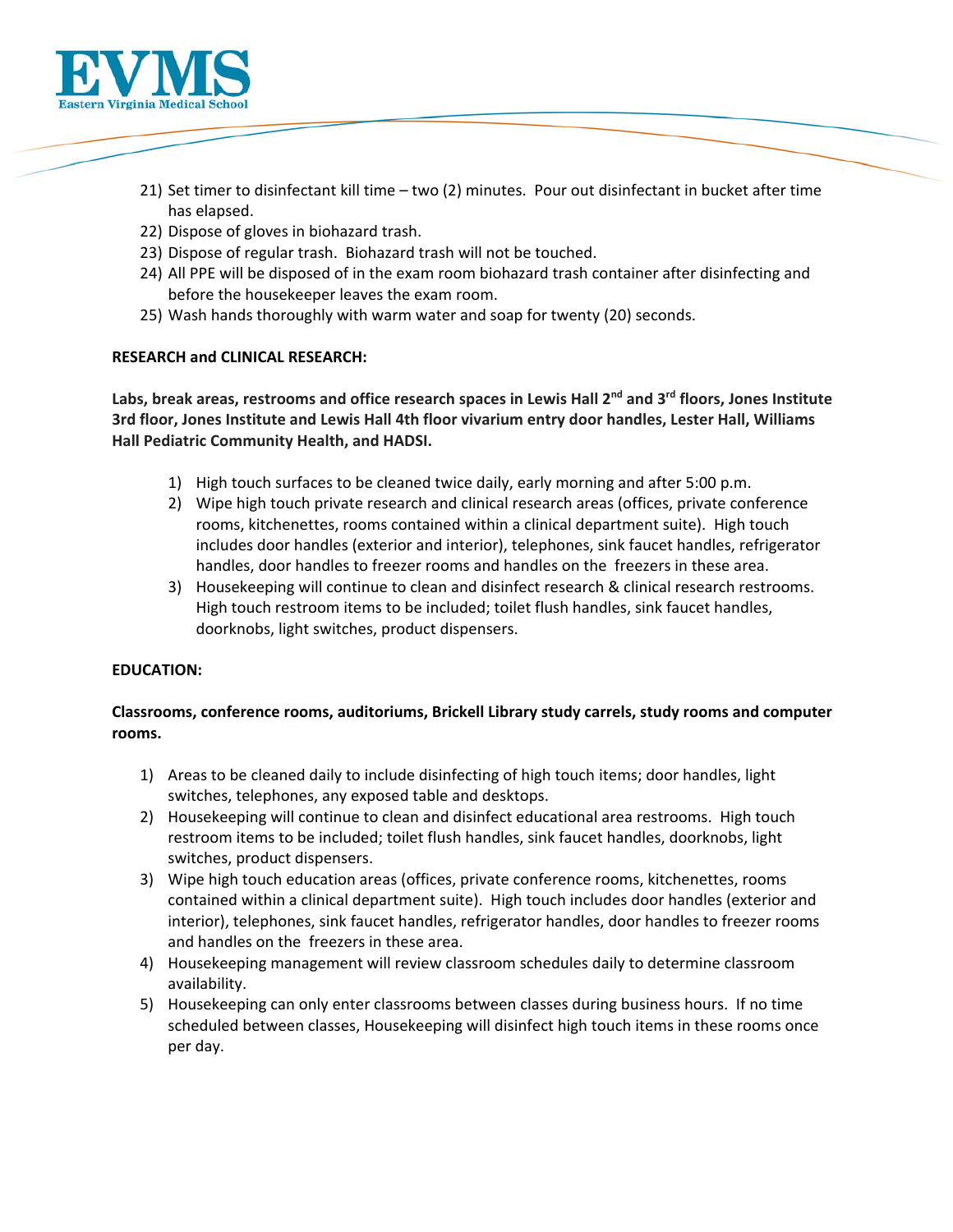

- 21) Set timer to disinfectant kill time two (2) minutes. Pour out disinfectant in bucket after time has elapsed.
- 22) Dispose of gloves in biohazard trash.
- 23) Dispose of regular trash. Biohazard trash will not be touched.
- 24) All PPE will be disposed of in the exam room biohazard trash container after disinfecting and before the housekeeper leaves the exam room.
- 25) Wash hands thoroughly with warm water and soap for twenty (20) seconds.

#### **RESEARCH and CLINICAL RESEARCH:**

**Labs, break areas, restrooms and office research spaces in Lewis Hall 2nd and 3rd floors, Jones Institute 3rd floor, Jones Institute and Lewis Hall 4th floor vivarium entry door handles, Lester Hall, Williams Hall Pediatric Community Health, and HADSI.** 

- 1) High touch surfaces to be cleaned twice daily, early morning and after 5:00 p.m.
- 2) Wipe high touch private research and clinical research areas (offices, private conference rooms, kitchenettes, rooms contained within a clinical department suite). High touch includes door handles (exterior and interior), telephones, sink faucet handles, refrigerator handles, door handles to freezer rooms and handles on the freezers in these area.
- 3) Housekeeping will continue to clean and disinfect research & clinical research restrooms. High touch restroom items to be included; toilet flush handles, sink faucet handles, doorknobs, light switches, product dispensers.

#### **EDUCATION:**

# **Classrooms, conference rooms, auditoriums, Brickell Library study carrels, study rooms and computer rooms.**

- 1) Areas to be cleaned daily to include disinfecting of high touch items; door handles, light switches, telephones, any exposed table and desktops.
- 2) Housekeeping will continue to clean and disinfect educational area restrooms. High touch restroom items to be included; toilet flush handles, sink faucet handles, doorknobs, light switches, product dispensers.
- 3) Wipe high touch education areas (offices, private conference rooms, kitchenettes, rooms contained within a clinical department suite). High touch includes door handles (exterior and interior), telephones, sink faucet handles, refrigerator handles, door handles to freezer rooms and handles on the freezers in these area.
- 4) Housekeeping management will review classroom schedules daily to determine classroom availability.
- 5) Housekeeping can only enter classrooms between classes during business hours. If no time scheduled between classes, Housekeeping will disinfect high touch items in these rooms once per day.